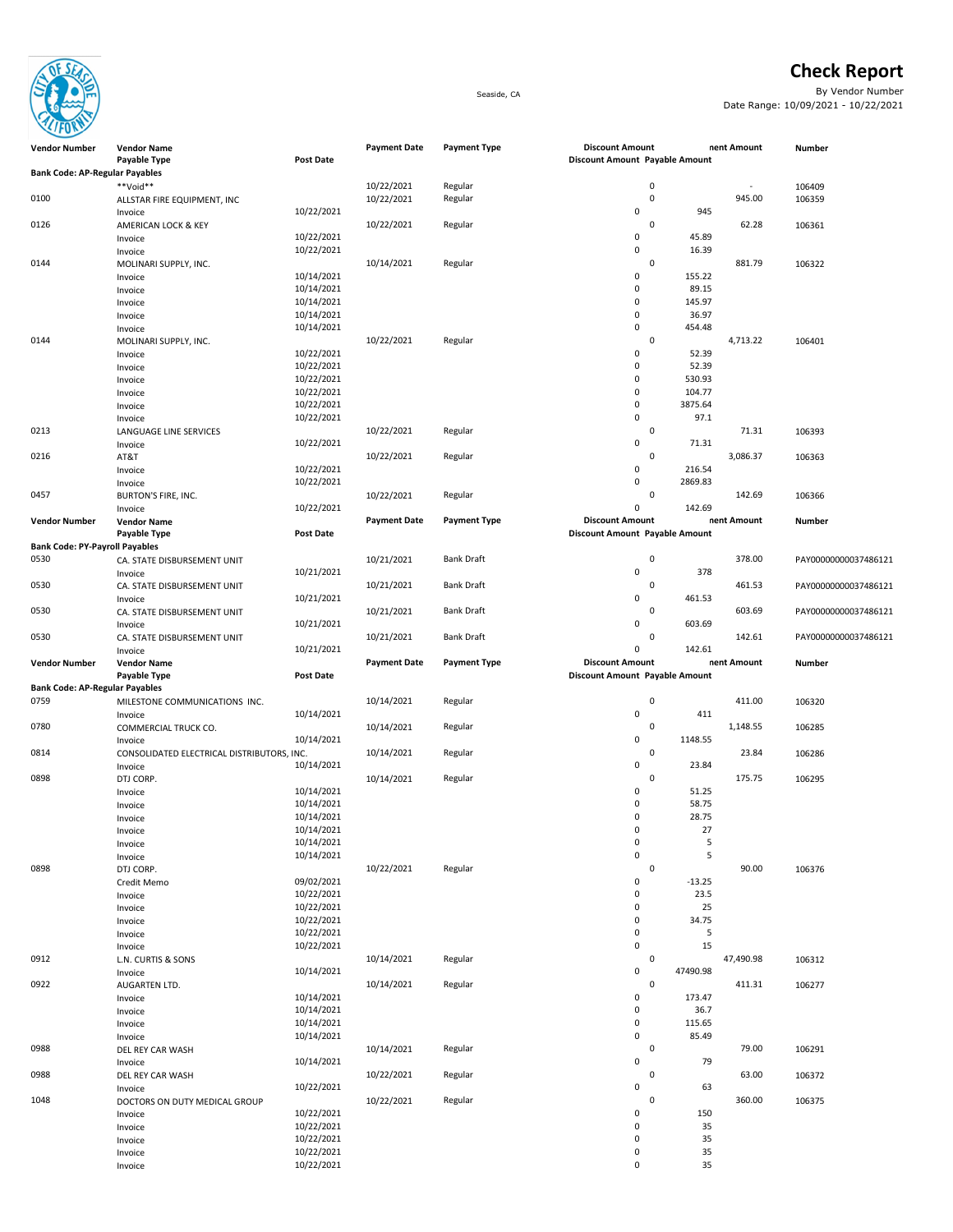

## Check Report

Seaside, CA By Vendor Number Date Range: 10/09/2021 - 10/22/2021

| <b>Bank Code: AP-Regular Payables</b> |                                            |                          |                     |                     |                                |                 |             |                      |
|---------------------------------------|--------------------------------------------|--------------------------|---------------------|---------------------|--------------------------------|-----------------|-------------|----------------------|
|                                       | **Void**                                   |                          | 10/22/2021          | Regular             |                                | $\pmb{0}$       | $\sim$      | 106409               |
| 0100                                  | ALLSTAR FIRE EQUIPMENT, INC                |                          | 10/22/2021          | Regular             |                                | $\mathbf 0$     | 945.00      | 106359               |
|                                       | Invoice                                    | 10/22/2021               |                     |                     | 0                              | 945             |             |                      |
| 0126                                  | AMERICAN LOCK & KEY                        |                          | 10/22/2021          | Regular             |                                | $\mathbf 0$     | 62.28       | 106361               |
|                                       | Invoice                                    | 10/22/2021               |                     |                     | 0                              | 45.89           |             |                      |
|                                       | Invoice                                    | 10/22/2021               |                     |                     | $\mathbf 0$                    | 16.39           |             |                      |
| 0144                                  | MOLINARI SUPPLY, INC.                      |                          | 10/14/2021          | Regular             |                                | $\mathbf 0$     | 881.79      | 106322               |
|                                       | Invoice                                    | 10/14/2021               |                     |                     | $\mathbf 0$                    | 155.22          |             |                      |
|                                       | Invoice                                    | 10/14/2021               |                     |                     | 0                              | 89.15           |             |                      |
|                                       | Invoice                                    | 10/14/2021               |                     |                     | $\mathbf 0$                    | 145.97          |             |                      |
|                                       | Invoice                                    | 10/14/2021               |                     |                     | $\mathbf 0$                    | 36.97           |             |                      |
|                                       | Invoice                                    | 10/14/2021               |                     |                     | $\mathbf 0$                    | 454.48          |             |                      |
| 0144                                  | MOLINARI SUPPLY, INC.                      |                          | 10/22/2021          | Regular             |                                | $\mathbf 0$     | 4,713.22    | 106401               |
|                                       | Invoice                                    | 10/22/2021<br>10/22/2021 |                     |                     | 0<br>0                         | 52.39           |             |                      |
|                                       | Invoice                                    | 10/22/2021               |                     |                     | 0                              | 52.39<br>530.93 |             |                      |
|                                       | Invoice                                    | 10/22/2021               |                     |                     | 0                              | 104.77          |             |                      |
|                                       | Invoice<br>Invoice                         | 10/22/2021               |                     |                     | $\mathbf 0$                    | 3875.64         |             |                      |
|                                       |                                            | 10/22/2021               |                     |                     | $\mathbf 0$                    | 97.1            |             |                      |
| 0213                                  | Invoice<br>LANGUAGE LINE SERVICES          |                          | 10/22/2021          | Regular             |                                | $\mathbf 0$     | 71.31       | 106393               |
|                                       | Invoice                                    | 10/22/2021               |                     |                     | $\mathbf 0$                    | 71.31           |             |                      |
| 0216                                  | AT&T                                       |                          | 10/22/2021          | Regular             |                                | 0               | 3,086.37    | 106363               |
|                                       | Invoice                                    | 10/22/2021               |                     |                     | $\mathbf 0$                    | 216.54          |             |                      |
|                                       | Invoice                                    | 10/22/2021               |                     |                     | $\mathbf 0$                    | 2869.83         |             |                      |
| 0457                                  | BURTON'S FIRE, INC.                        |                          | 10/22/2021          | Regular             |                                | $\mathbf 0$     | 142.69      | 106366               |
|                                       | Invoice                                    | 10/22/2021               |                     |                     | 0                              | 142.69          |             |                      |
| <b>Vendor Number</b>                  | <b>Vendor Name</b>                         |                          | <b>Payment Date</b> | <b>Payment Type</b> | <b>Discount Amount</b>         |                 | nent Amount | Number               |
|                                       | Payable Type                               | <b>Post Date</b>         |                     |                     | Discount Amount Payable Amount |                 |             |                      |
| <b>Bank Code: PY-Payroll Payables</b> |                                            |                          |                     |                     |                                |                 |             |                      |
| 0530                                  | CA. STATE DISBURSEMENT UNIT                |                          | 10/21/2021          | <b>Bank Draft</b>   |                                | $\mathbf 0$     | 378.00      | PAY00000000037486121 |
|                                       | Invoice                                    | 10/21/2021               |                     |                     | $\mathbf 0$                    | 378             |             |                      |
| 0530                                  | CA. STATE DISBURSEMENT UNIT                |                          | 10/21/2021          | <b>Bank Draft</b>   |                                | 0               | 461.53      | PAY00000000037486121 |
|                                       | Invoice                                    | 10/21/2021               |                     |                     | $\mathbf 0$                    | 461.53          |             |                      |
| 0530                                  | CA. STATE DISBURSEMENT UNIT                |                          | 10/21/2021          | <b>Bank Draft</b>   |                                | 0               | 603.69      | PAY00000000037486121 |
|                                       | Invoice                                    | 10/21/2021               |                     |                     | 0                              | 603.69          |             |                      |
| 0530                                  | CA. STATE DISBURSEMENT UNIT                |                          | 10/21/2021          | <b>Bank Draft</b>   |                                | 0               | 142.61      | PAY00000000037486121 |
|                                       | Invoice                                    | 10/21/2021               |                     |                     | $\mathbf 0$                    | 142.61          |             |                      |
|                                       |                                            |                          |                     |                     |                                |                 |             |                      |
| <b>Vendor Number</b>                  | <b>Vendor Name</b>                         |                          | <b>Payment Date</b> | <b>Payment Type</b> | <b>Discount Amount</b>         |                 | nent Amount | Number               |
|                                       | Payable Type                               | <b>Post Date</b>         |                     |                     | Discount Amount Payable Amount |                 |             |                      |
| <b>Bank Code: AP-Regular Payables</b> |                                            |                          |                     |                     |                                |                 |             |                      |
| 0759                                  | MILESTONE COMMUNICATIONS INC.              |                          | 10/14/2021          | Regular             |                                | $\mathbf 0$     | 411.00      | 106320               |
|                                       | Invoice                                    | 10/14/2021               |                     |                     | 0                              | 411             |             |                      |
| 0780                                  | COMMERCIAL TRUCK CO.                       |                          | 10/14/2021          | Regular             |                                | 0               | 1,148.55    | 106285               |
|                                       | Invoice                                    | 10/14/2021               |                     |                     | $\mathbf 0$                    | 1148.55         |             |                      |
| 0814                                  | CONSOLIDATED ELECTRICAL DISTRIBUTORS, INC. |                          | 10/14/2021          | Regular             |                                | 0               | 23.84       | 106286               |
|                                       | Invoice                                    | 10/14/2021               |                     |                     | $\mathbf 0$                    | 23.84           |             |                      |
| 0898                                  | DTJ CORP.                                  |                          | 10/14/2021          | Regular             |                                | $\Omega$        | 175.75      | 106295               |
|                                       | Invoice                                    | 10/14/2021               |                     |                     | $\mathbf 0$                    | 51.25           |             |                      |
|                                       | Invoice                                    | 10/14/2021               |                     |                     | 0                              | 58.75           |             |                      |
|                                       | Invoice                                    | 10/14/2021               |                     |                     | 0<br>0                         | 28.75<br>27     |             |                      |
|                                       | Invoice                                    | 10/14/2021<br>10/14/2021 |                     |                     | 0                              | 5               |             |                      |
|                                       | Invoice<br>Invoice                         | 10/14/2021               |                     |                     | $\Omega$                       | 5               |             |                      |
| 0898                                  | DTJ CORP.                                  |                          | 10/22/2021          | Regular             |                                | $\pmb{0}$       | 90.00       | 106376               |
|                                       | Credit Memo                                | 09/02/2021               |                     |                     | 0                              | $-13.25$        |             |                      |
|                                       | Invoice                                    | 10/22/2021               |                     |                     | $\mathbf 0$                    | 23.5            |             |                      |
|                                       | Invoice                                    | 10/22/2021               |                     |                     | $\mathbf 0$                    | 25              |             |                      |
|                                       | Invoice                                    | 10/22/2021               |                     |                     | $\mathbf 0$                    | 34.75           |             |                      |
|                                       | Invoice                                    | 10/22/2021               |                     |                     | 0                              | 5               |             |                      |
|                                       | Invoice                                    | 10/22/2021               |                     |                     | $\mathbf 0$                    | 15              |             |                      |
| 0912                                  | L.N. CURTIS & SONS                         |                          | 10/14/2021          | Regular             |                                | 0               | 47,490.98   | 106312               |
|                                       | Invoice                                    | 10/14/2021               |                     |                     | $\mathbf 0$                    | 47490.98        |             |                      |
| 0922                                  | AUGARTEN LTD.                              |                          | 10/14/2021          | Regular             |                                | 0               | 411.31      | 106277               |
|                                       | Invoice                                    | 10/14/2021               |                     |                     | $\mathbf 0$                    | 173.47          |             |                      |
|                                       | Invoice                                    | 10/14/2021               |                     |                     | 0                              | 36.7            |             |                      |
|                                       | Invoice                                    | 10/14/2021               |                     |                     | $\pmb{0}$                      | 115.65          |             |                      |
|                                       | Invoice                                    | 10/14/2021               |                     |                     | $\mathbf 0$                    | 85.49           |             |                      |
| 0988                                  | DEL REY CAR WASH                           |                          | 10/14/2021          | Regular             |                                | 0               | 79.00       | 106291               |
|                                       | Invoice                                    | 10/14/2021               |                     |                     | $\mathbf 0$                    | 79              |             |                      |
| 0988                                  | DEL REY CAR WASH                           |                          | 10/22/2021          | Regular             | $\mathbf 0$                    | 0               | 63.00       | 106372               |
| 1048                                  | Invoice                                    | 10/22/2021               | 10/22/2021          | Regular             |                                | 63<br>0         | 360.00      | 106375               |
|                                       | DOCTORS ON DUTY MEDICAL GROUP<br>Invoice   | 10/22/2021               |                     |                     | 0                              | 150             |             |                      |
|                                       | Invoice                                    | 10/22/2021               |                     |                     | 0                              | 35              |             |                      |

Invoice 2008 10/22/2021 2021 2022 10:00:00 0 35 Invoice 2008 10/22/2021 2021 2022 10:00:00 0 35

**Discount Amount Payable Amount** 

Vendor Number Number

Vendor Name Payment Date Payment Type Discount Amount Payment Amount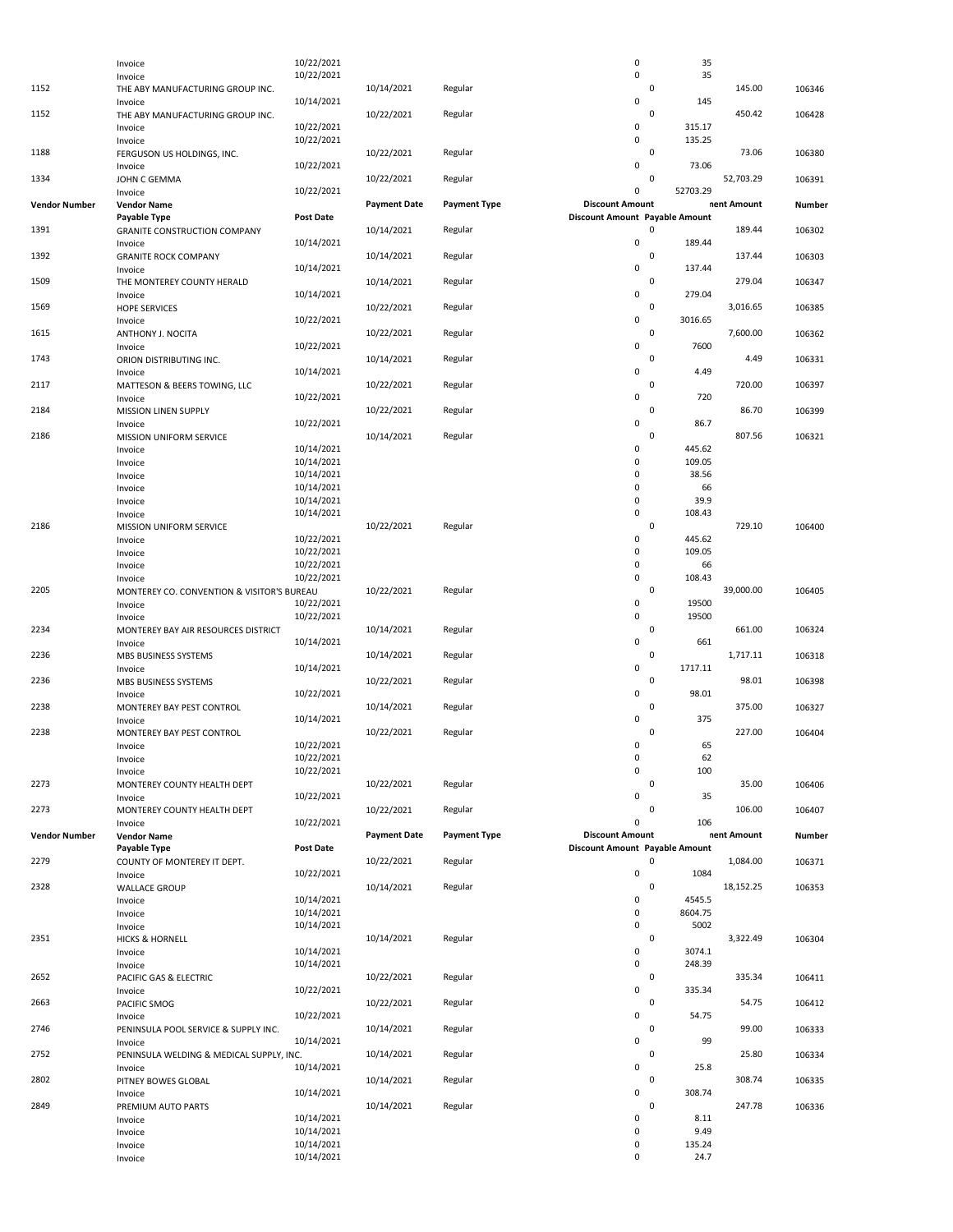|                      | Invoice                                             | 10/22/2021               |                     |                     | 0                                     | 35                  |             |        |
|----------------------|-----------------------------------------------------|--------------------------|---------------------|---------------------|---------------------------------------|---------------------|-------------|--------|
|                      | Invoice                                             | 10/22/2021               |                     |                     | 0                                     | 35                  |             |        |
| 1152                 | THE ABY MANUFACTURING GROUP INC.                    |                          | 10/14/2021          | Regular             |                                       | $\mathbf 0$         | 145.00      | 106346 |
|                      | Invoice                                             | 10/14/2021               |                     |                     | 0                                     | 145                 |             |        |
| 1152                 | THE ABY MANUFACTURING GROUP INC.                    | 10/22/2021               | 10/22/2021          | Regular             | 0                                     | 0<br>315.17         | 450.42      | 106428 |
|                      | Invoice<br>Invoice                                  | 10/22/2021               |                     |                     | 0                                     | 135.25              |             |        |
| 1188                 | FERGUSON US HOLDINGS, INC.                          |                          | 10/22/2021          | Regular             |                                       | $\mathbf 0$         | 73.06       | 106380 |
|                      | Invoice                                             | 10/22/2021               |                     |                     | 0                                     | 73.06               |             |        |
| 1334                 | JOHN C GEMMA                                        |                          | 10/22/2021          | Regular             |                                       | 0                   | 52,703.29   | 106391 |
|                      | Invoice                                             | 10/22/2021               |                     |                     | 0                                     | 52703.29            |             |        |
| <b>Vendor Number</b> | <b>Vendor Name</b>                                  |                          | <b>Payment Date</b> | <b>Payment Type</b> | <b>Discount Amount</b>                |                     | nent Amount | Number |
|                      | Payable Type                                        | <b>Post Date</b>         |                     |                     | Discount Amount Payable Amount        |                     |             |        |
| 1391                 | <b>GRANITE CONSTRUCTION COMPANY</b>                 |                          | 10/14/2021          | Regular             |                                       | 0                   | 189.44      | 106302 |
|                      | Invoice                                             | 10/14/2021               |                     |                     | 0                                     | 189.44<br>0         |             |        |
| 1392                 | <b>GRANITE ROCK COMPANY</b>                         | 10/14/2021               | 10/14/2021          | Regular             | 0                                     | 137.44              | 137.44      | 106303 |
| 1509                 | Invoice<br>THE MONTEREY COUNTY HERALD               |                          | 10/14/2021          | Regular             |                                       | 0                   | 279.04      | 106347 |
|                      | Invoice                                             | 10/14/2021               |                     |                     | 0                                     | 279.04              |             |        |
| 1569                 | <b>HOPE SERVICES</b>                                |                          | 10/22/2021          | Regular             |                                       | $\pmb{0}$           | 3,016.65    | 106385 |
|                      | Invoice                                             | 10/22/2021               |                     |                     | 0                                     | 3016.65             |             |        |
| 1615                 | ANTHONY J. NOCITA                                   |                          | 10/22/2021          | Regular             |                                       | $\pmb{0}$           | 7,600.00    | 106362 |
|                      | Invoice                                             | 10/22/2021               |                     |                     | 0                                     | 7600                |             |        |
| 1743                 | ORION DISTRIBUTING INC.                             |                          | 10/14/2021          | Regular             |                                       | $\pmb{0}$           | 4.49        | 106331 |
|                      | Invoice                                             | 10/14/2021               |                     |                     | 0                                     | 4.49<br>$\mathbf 0$ | 720.00      |        |
| 2117                 | MATTESON & BEERS TOWING, LLC<br>Invoice             | 10/22/2021               | 10/22/2021          | Regular             | 0                                     | 720                 |             | 106397 |
| 2184                 | MISSION LINEN SUPPLY                                |                          | 10/22/2021          | Regular             |                                       | 0                   | 86.70       | 106399 |
|                      | Invoice                                             | 10/22/2021               |                     |                     | 0                                     | 86.7                |             |        |
| 2186                 | MISSION UNIFORM SERVICE                             |                          | 10/14/2021          | Regular             |                                       | 0                   | 807.56      | 106321 |
|                      | Invoice                                             | 10/14/2021               |                     |                     | 0                                     | 445.62              |             |        |
|                      | Invoice                                             | 10/14/2021               |                     |                     | 0                                     | 109.05              |             |        |
|                      | Invoice                                             | 10/14/2021               |                     |                     | 0                                     | 38.56               |             |        |
|                      | Invoice                                             | 10/14/2021               |                     |                     | 0                                     | 66                  |             |        |
|                      | Invoice                                             | 10/14/2021               |                     |                     | 0<br>0                                | 39.9<br>108.43      |             |        |
| 2186                 | Invoice<br>MISSION UNIFORM SERVICE                  | 10/14/2021               | 10/22/2021          | Regular             |                                       | $\pmb{0}$           | 729.10      | 106400 |
|                      | Invoice                                             | 10/22/2021               |                     |                     | 0                                     | 445.62              |             |        |
|                      | Invoice                                             | 10/22/2021               |                     |                     | 0                                     | 109.05              |             |        |
|                      | Invoice                                             | 10/22/2021               |                     |                     | 0                                     | 66                  |             |        |
|                      | Invoice                                             | 10/22/2021               |                     |                     | 0                                     | 108.43              |             |        |
| 2205                 | MONTEREY CO. CONVENTION & VISITOR'S BUREAU          |                          | 10/22/2021          | Regular             |                                       | $\mathbf 0$         | 39,000.00   | 106405 |
|                      | Invoice                                             | 10/22/2021               |                     |                     | 0                                     | 19500               |             |        |
|                      | Invoice                                             | 10/22/2021               |                     |                     | 0                                     | 19500               |             |        |
| 2234                 | MONTEREY BAY AIR RESOURCES DISTRICT                 |                          | 10/14/2021          | Regular             |                                       | $\pmb{0}$           | 661.00      | 106324 |
| 2236                 | Invoice                                             | 10/14/2021               |                     |                     | 0                                     | 661<br>0            | 1,717.11    |        |
|                      | MBS BUSINESS SYSTEMS<br>Invoice                     | 10/14/2021               | 10/14/2021          | Regular             | 0                                     | 1717.11             |             | 106318 |
| 2236                 | MBS BUSINESS SYSTEMS                                |                          | 10/22/2021          | Regular             |                                       | $\pmb{0}$           | 98.01       | 106398 |
|                      | Invoice                                             | 10/22/2021               |                     |                     | 0                                     | 98.01               |             |        |
| 2238                 | MONTEREY BAY PEST CONTROL                           |                          | 10/14/2021          | Regular             |                                       | 0                   | 375.00      | 106327 |
|                      | Invoice                                             | 10/14/2021               |                     |                     | 0                                     | 375                 |             |        |
| 2238                 | MONTEREY BAY PEST CONTROL                           |                          | 10/22/2021          | Regular             |                                       | $\mathbf 0$         | 227.00      | 106404 |
|                      | Invoice                                             | 10/22/2021               |                     |                     | 0                                     | 65                  |             |        |
|                      | Invoice                                             | 10/22/2021               |                     |                     | 0                                     | 62                  |             |        |
|                      | Invoice                                             | 10/22/2021               |                     |                     | 0                                     | 100<br>$\mathbf 0$  |             |        |
| 2273                 | MONTEREY COUNTY HEALTH DEPT<br>Invoice              | 10/22/2021               | 10/22/2021          | Regular             | 0                                     | 35                  | 35.00       | 106406 |
| 2273                 | MONTEREY COUNTY HEALTH DEPT                         |                          | 10/22/2021          | Regular             |                                       | 0                   | 106.00      | 106407 |
|                      | Invoice                                             | 10/22/2021               |                     |                     | 0                                     | 106                 |             |        |
| <b>Vendor Number</b> | <b>Vendor Name</b>                                  |                          | <b>Payment Date</b> | <b>Payment Type</b> | <b>Discount Amount</b>                |                     | nent Amount | Number |
|                      | Payable Type                                        | Post Date                |                     |                     | <b>Discount Amount Payable Amount</b> |                     |             |        |
| 2279                 | COUNTY OF MONTEREY IT DEPT.                         |                          | 10/22/2021          | Regular             |                                       | $\mathbf 0$         | 1,084.00    | 106371 |
|                      | Invoice                                             | 10/22/2021               |                     |                     | 0                                     | 1084                |             |        |
| 2328                 | <b>WALLACE GROUP</b>                                |                          | 10/14/2021          | Regular             |                                       | $\mathbf 0$         | 18,152.25   | 106353 |
|                      | Invoice                                             | 10/14/2021<br>10/14/2021 |                     |                     | 0<br>0                                | 4545.5<br>8604.75   |             |        |
|                      | Invoice<br>Invoice                                  | 10/14/2021               |                     |                     | 0                                     | 5002                |             |        |
| 2351                 | <b>HICKS &amp; HORNELL</b>                          |                          | 10/14/2021          | Regular             |                                       | $\mathsf 0$         | 3,322.49    | 106304 |
|                      | Invoice                                             | 10/14/2021               |                     |                     | 0                                     | 3074.1              |             |        |
|                      | Invoice                                             | 10/14/2021               |                     |                     | 0                                     | 248.39              |             |        |
| 2652                 | PACIFIC GAS & ELECTRIC                              |                          | 10/22/2021          | Regular             |                                       | $\pmb{0}$           | 335.34      | 106411 |
|                      | Invoice                                             | 10/22/2021               |                     |                     | 0                                     | 335.34              |             |        |
| 2663                 | PACIFIC SMOG                                        |                          | 10/22/2021          | Regular             |                                       | $\pmb{0}$           | 54.75       | 106412 |
|                      | Invoice                                             | 10/22/2021               |                     |                     | 0                                     | 54.75               |             |        |
| 2746                 | PENINSULA POOL SERVICE & SUPPLY INC.                | 10/14/2021               | 10/14/2021          | Regular             | 0                                     | 0<br>99             | 99.00       | 106333 |
| 2752                 | Invoice<br>PENINSULA WELDING & MEDICAL SUPPLY, INC. |                          | 10/14/2021          | Regular             |                                       | $\pmb{0}$           | 25.80       | 106334 |
|                      | Invoice                                             | 10/14/2021               |                     |                     | 0                                     | 25.8                |             |        |
| 2802                 | PITNEY BOWES GLOBAL                                 |                          | 10/14/2021          | Regular             |                                       | 0                   | 308.74      | 106335 |
|                      | Invoice                                             | 10/14/2021               |                     |                     | 0                                     | 308.74              |             |        |
| 2849                 | PREMIUM AUTO PARTS                                  |                          | 10/14/2021          | Regular             |                                       | $\pmb{0}$           | 247.78      | 106336 |
|                      | Invoice                                             | 10/14/2021               |                     |                     | 0                                     | 8.11                |             |        |
|                      | Invoice                                             | 10/14/2021               |                     |                     | 0                                     | 9.49                |             |        |
|                      | Invoice                                             | 10/14/2021<br>10/14/2021 |                     |                     | 0<br>0                                | 135.24<br>24.7      |             |        |
|                      | Invoice                                             |                          |                     |                     |                                       |                     |             |        |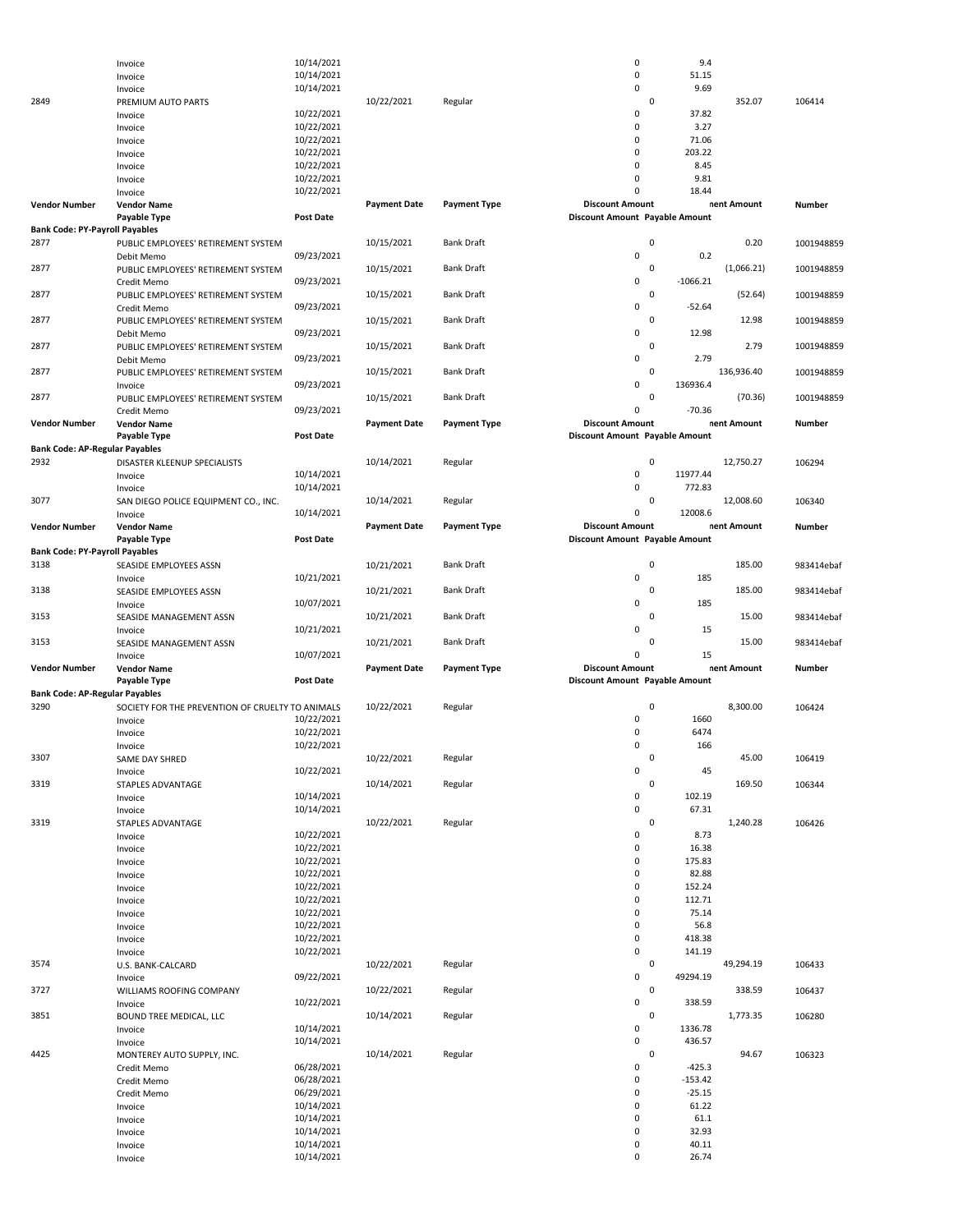|                                       | Invoice                                            | 10/14/2021               |                     |                     | 0<br>$\mathsf 0$                                         | 9.4<br>51.15            |             |               |
|---------------------------------------|----------------------------------------------------|--------------------------|---------------------|---------------------|----------------------------------------------------------|-------------------------|-------------|---------------|
|                                       | Invoice                                            | 10/14/2021<br>10/14/2021 |                     |                     | 0                                                        | 9.69                    |             |               |
| 2849                                  | Invoice<br>PREMIUM AUTO PARTS                      |                          | 10/22/2021          | Regular             |                                                          | $\mathbf 0$             | 352.07      | 106414        |
|                                       | Invoice                                            | 10/22/2021               |                     |                     | 0                                                        | 37.82                   |             |               |
|                                       | Invoice                                            | 10/22/2021               |                     |                     | 0                                                        | 3.27                    |             |               |
|                                       | Invoice                                            | 10/22/2021               |                     |                     | 0                                                        | 71.06                   |             |               |
|                                       | Invoice                                            | 10/22/2021               |                     |                     | $\mathbf 0$                                              | 203.22                  |             |               |
|                                       | Invoice                                            | 10/22/2021               |                     |                     | 0                                                        | 8.45                    |             |               |
|                                       | Invoice                                            | 10/22/2021               |                     |                     | 0                                                        | 9.81                    |             |               |
|                                       | Invoice                                            | 10/22/2021               |                     |                     | $\Omega$                                                 | 18.44                   |             |               |
| <b>Vendor Number</b>                  | <b>Vendor Name</b>                                 |                          | <b>Payment Date</b> | <b>Payment Type</b> | <b>Discount Amount</b>                                   |                         | nent Amount | Number        |
|                                       | Payable Type                                       | <b>Post Date</b>         |                     |                     | Discount Amount Payable Amount                           |                         |             |               |
| <b>Bank Code: PY-Payroll Payables</b> |                                                    |                          |                     |                     |                                                          |                         |             |               |
| 2877                                  | PUBLIC EMPLOYEES' RETIREMENT SYSTEM                |                          | 10/15/2021          | <b>Bank Draft</b>   |                                                          | $\pmb{0}$               | 0.20        | 1001948859    |
|                                       | Debit Memo                                         | 09/23/2021               |                     |                     | 0                                                        | 0.2                     |             |               |
| 2877                                  | PUBLIC EMPLOYEES' RETIREMENT SYSTEM                |                          | 10/15/2021          | <b>Bank Draft</b>   |                                                          | 0                       | (1,066.21)  | 1001948859    |
|                                       | Credit Memo                                        | 09/23/2021               |                     |                     | 0                                                        | $-1066.21$<br>$\pmb{0}$ |             |               |
| 2877                                  | PUBLIC EMPLOYEES' RETIREMENT SYSTEM                | 09/23/2021               | 10/15/2021          | <b>Bank Draft</b>   | 0                                                        | $-52.64$                | (52.64)     | 1001948859    |
| 2877                                  | Credit Memo<br>PUBLIC EMPLOYEES' RETIREMENT SYSTEM |                          | 10/15/2021          | <b>Bank Draft</b>   |                                                          | 0                       | 12.98       | 1001948859    |
|                                       | Debit Memo                                         | 09/23/2021               |                     |                     | 0                                                        | 12.98                   |             |               |
| 2877                                  | PUBLIC EMPLOYEES' RETIREMENT SYSTEM                |                          | 10/15/2021          | <b>Bank Draft</b>   |                                                          | $\pmb{0}$               | 2.79        | 1001948859    |
|                                       | Debit Memo                                         | 09/23/2021               |                     |                     | 0                                                        | 2.79                    |             |               |
| 2877                                  | PUBLIC EMPLOYEES' RETIREMENT SYSTEM                |                          | 10/15/2021          | <b>Bank Draft</b>   |                                                          | 0                       | 136,936.40  | 1001948859    |
|                                       | Invoice                                            | 09/23/2021               |                     |                     | 0                                                        | 136936.4                |             |               |
| 2877                                  | PUBLIC EMPLOYEES' RETIREMENT SYSTEM                |                          | 10/15/2021          | <b>Bank Draft</b>   |                                                          | $\mathbf 0$             | (70.36)     | 1001948859    |
|                                       | Credit Memo                                        | 09/23/2021               |                     |                     | 0                                                        | $-70.36$                |             |               |
| <b>Vendor Number</b>                  | <b>Vendor Name</b>                                 |                          | <b>Payment Date</b> | <b>Payment Type</b> | <b>Discount Amount</b>                                   |                         | nent Amount | <b>Number</b> |
|                                       | Payable Type                                       | <b>Post Date</b>         |                     |                     | <b>Discount Amount Payable Amount</b>                    |                         |             |               |
| <b>Bank Code: AP-Regular Payables</b> |                                                    |                          |                     |                     |                                                          |                         |             |               |
| 2932                                  | DISASTER KLEENUP SPECIALISTS                       |                          | 10/14/2021          | Regular             |                                                          | $\mathbf 0$             | 12,750.27   | 106294        |
|                                       | Invoice                                            | 10/14/2021               |                     |                     | $\pmb{0}$                                                | 11977.44                |             |               |
|                                       | Invoice                                            | 10/14/2021               |                     |                     | 0                                                        | 772.83                  |             |               |
| 3077                                  | SAN DIEGO POLICE EQUIPMENT CO., INC.               |                          | 10/14/2021          | Regular             |                                                          | 0                       | 12,008.60   | 106340        |
|                                       | Invoice                                            | 10/14/2021               |                     |                     | 0                                                        | 12008.6                 |             |               |
| <b>Vendor Number</b>                  | <b>Vendor Name</b><br>Payable Type                 | Post Date                | <b>Payment Date</b> | <b>Payment Type</b> | <b>Discount Amount</b><br>Discount Amount Payable Amount |                         | nent Amount | Number        |
| <b>Bank Code: PY-Payroll Payables</b> |                                                    |                          |                     |                     |                                                          |                         |             |               |
| 3138                                  | SEASIDE EMPLOYEES ASSN                             |                          | 10/21/2021          | <b>Bank Draft</b>   |                                                          | $\pmb{0}$               | 185.00      | 983414ebaf    |
|                                       | Invoice                                            | 10/21/2021               |                     |                     | 0                                                        | 185                     |             |               |
| 3138                                  | SEASIDE EMPLOYEES ASSN                             |                          | 10/21/2021          | <b>Bank Draft</b>   |                                                          | 0                       | 185.00      | 983414ebaf    |
|                                       |                                                    |                          |                     |                     |                                                          |                         |             |               |
|                                       |                                                    |                          |                     |                     | 0                                                        | 185                     |             |               |
| 3153                                  | Invoice<br>SEASIDE MANAGEMENT ASSN                 | 10/07/2021               | 10/21/2021          | <b>Bank Draft</b>   |                                                          | 0                       | 15.00       | 983414ebaf    |
|                                       | Invoice                                            | 10/21/2021               |                     |                     | 0                                                        | 15                      |             |               |
| 3153                                  | SEASIDE MANAGEMENT ASSN                            |                          | 10/21/2021          | <b>Bank Draft</b>   |                                                          | 0                       | 15.00       | 983414ebaf    |
|                                       | Invoice                                            | 10/07/2021               |                     |                     | $\Omega$                                                 | 15                      |             |               |
| <b>Vendor Number</b>                  | <b>Vendor Name</b>                                 |                          | <b>Payment Date</b> | <b>Payment Type</b> | <b>Discount Amount</b>                                   |                         | nent Amount | <b>Number</b> |
|                                       | Payable Type                                       | <b>Post Date</b>         |                     |                     | Discount Amount Payable Amount                           |                         |             |               |
| <b>Bank Code: AP-Regular Payables</b> |                                                    |                          |                     |                     |                                                          |                         |             |               |
| 3290                                  | SOCIETY FOR THE PREVENTION OF CRUELTY TO ANIMALS   |                          | 10/22/2021          | Regular             |                                                          | $\Omega$                | 8,300.00    | 106424        |
|                                       | Invoice                                            | 10/22/2021               |                     |                     | 0                                                        | 1660                    |             |               |
|                                       | Invoice                                            | 10/22/2021               |                     |                     | 0                                                        | 6474                    |             |               |
|                                       | Invoice                                            | 10/22/2021               |                     |                     | 0                                                        | 166                     |             |               |
| 3307                                  | SAME DAY SHRED                                     |                          | 10/22/2021          | Regular             |                                                          | 0                       | 45.00       | 106419        |
|                                       | Invoice                                            | 10/22/2021               |                     |                     | 0                                                        | 45                      |             |               |
| 3319                                  | STAPLES ADVANTAGE                                  |                          | 10/14/2021          | Regular             |                                                          | $\pmb{0}$               | 169.50      | 106344        |
|                                       | Invoice                                            | 10/14/2021               |                     |                     | $\pmb{0}$                                                | 102.19                  |             |               |
| 3319                                  | Invoice                                            | 10/14/2021               |                     |                     | 0                                                        | 67.31<br>$\mathbf 0$    |             |               |
|                                       | STAPLES ADVANTAGE<br>Invoice                       | 10/22/2021               | 10/22/2021          | Regular             | 0                                                        | 8.73                    | 1,240.28    | 106426        |
|                                       | Invoice                                            | 10/22/2021               |                     |                     | 0                                                        | 16.38                   |             |               |
|                                       | Invoice                                            | 10/22/2021               |                     |                     | 0                                                        | 175.83                  |             |               |
|                                       | Invoice                                            | 10/22/2021               |                     |                     | 0                                                        | 82.88                   |             |               |
|                                       | Invoice                                            | 10/22/2021               |                     |                     | $\pmb{0}$                                                | 152.24                  |             |               |
|                                       | Invoice                                            | 10/22/2021               |                     |                     | 0                                                        | 112.71                  |             |               |
|                                       | Invoice                                            | 10/22/2021               |                     |                     | $\pmb{0}$                                                | 75.14                   |             |               |
|                                       | Invoice                                            | 10/22/2021               |                     |                     | 0                                                        | 56.8                    |             |               |
|                                       | Invoice                                            | 10/22/2021               |                     |                     | $\pmb{0}$                                                | 418.38                  |             |               |
|                                       | Invoice                                            | 10/22/2021               |                     |                     | 0                                                        | 141.19                  |             |               |
| 3574                                  | U.S. BANK-CALCARD                                  |                          | 10/22/2021          | Regular             |                                                          | $\pmb{0}$               | 49,294.19   | 106433        |
|                                       | Invoice                                            | 09/22/2021               |                     |                     | 0                                                        | 49294.19                |             |               |
| 3727                                  | WILLIAMS ROOFING COMPANY                           |                          | 10/22/2021          | Regular             |                                                          | $\pmb{0}$               | 338.59      | 106437        |
|                                       | Invoice                                            | 10/22/2021               |                     |                     | 0                                                        | 338.59                  |             |               |
| 3851                                  | BOUND TREE MEDICAL, LLC                            |                          | 10/14/2021          | Regular             |                                                          | 0                       | 1,773.35    | 106280        |
|                                       | Invoice                                            | 10/14/2021               |                     |                     | 0<br>$\pmb{0}$                                           | 1336.78<br>436.57       |             |               |
| 4425                                  | Invoice                                            | 10/14/2021               | 10/14/2021          | Regular             |                                                          | $\mathbf 0$             | 94.67       | 106323        |
|                                       | MONTEREY AUTO SUPPLY, INC.<br>Credit Memo          | 06/28/2021               |                     |                     | 0                                                        | $-425.3$                |             |               |
|                                       | Credit Memo                                        | 06/28/2021               |                     |                     | 0                                                        | $-153.42$               |             |               |
|                                       | Credit Memo                                        | 06/29/2021               |                     |                     | 0                                                        | $-25.15$                |             |               |
|                                       | Invoice                                            | 10/14/2021               |                     |                     | 0                                                        | 61.22                   |             |               |
|                                       | Invoice                                            | 10/14/2021               |                     |                     | $\pmb{0}$                                                | 61.1                    |             |               |
|                                       | Invoice                                            | 10/14/2021               |                     |                     | 0                                                        | 32.93                   |             |               |
|                                       | Invoice<br>Invoice                                 | 10/14/2021<br>10/14/2021 |                     |                     | 0<br>0                                                   | 40.11<br>26.74          |             |               |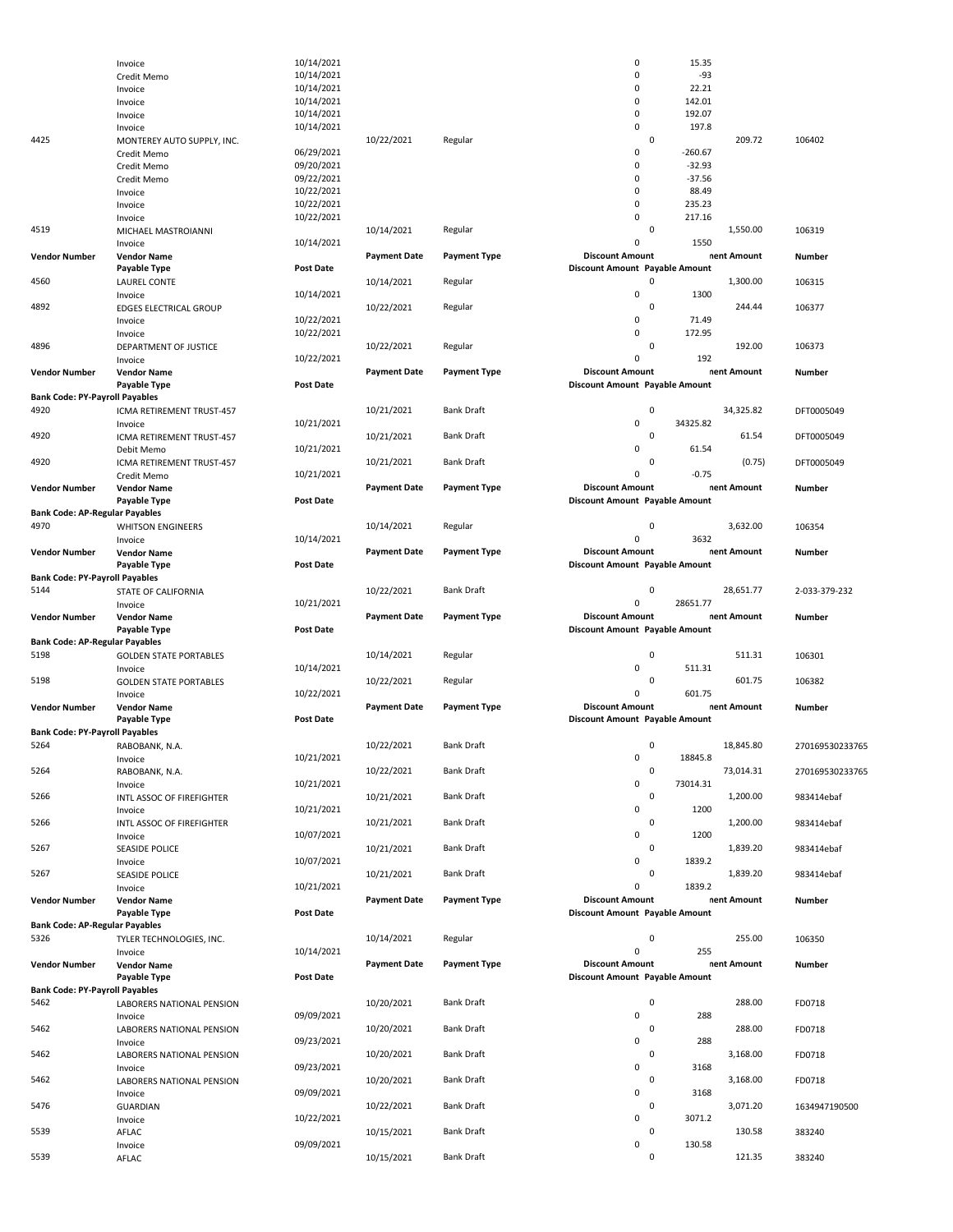|                                       | Invoice                       | 10/14/2021       |                     |                     | 0                              | 15.35            |                 |
|---------------------------------------|-------------------------------|------------------|---------------------|---------------------|--------------------------------|------------------|-----------------|
|                                       | Credit Memo                   | 10/14/2021       |                     |                     | 0                              | $-93$            |                 |
|                                       | Invoice                       | 10/14/2021       |                     |                     | 0                              | 22.21            |                 |
|                                       | Invoice                       | 10/14/2021       |                     |                     | 0                              | 142.01           |                 |
|                                       | Invoice                       | 10/14/2021       |                     |                     | 0                              | 192.07           |                 |
|                                       | Invoice                       | 10/14/2021       |                     |                     | 0                              | 197.8            |                 |
| 4425                                  | MONTEREY AUTO SUPPLY, INC.    |                  | 10/22/2021          | Regular             | 0                              | 209.72           | 106402          |
|                                       | Credit Memo                   | 06/29/2021       |                     |                     | 0                              | $-260.67$        |                 |
|                                       | Credit Memo                   | 09/20/2021       |                     |                     | 0                              | $-32.93$         |                 |
|                                       |                               |                  |                     |                     | 0                              |                  |                 |
|                                       | Credit Memo                   | 09/22/2021       |                     |                     |                                | $-37.56$         |                 |
|                                       | Invoice                       | 10/22/2021       |                     |                     | 0                              | 88.49            |                 |
|                                       | Invoice                       | 10/22/2021       |                     |                     | 0                              | 235.23           |                 |
|                                       | Invoice                       | 10/22/2021       |                     |                     | 0                              | 217.16           |                 |
| 4519                                  | MICHAEL MASTROIANNI           |                  | 10/14/2021          | Regular             | 0                              | 1,550.00         | 106319          |
|                                       | Invoice                       | 10/14/2021       |                     |                     | 0                              | 1550             |                 |
| <b>Vendor Number</b>                  |                               |                  | <b>Payment Date</b> | <b>Payment Type</b> | <b>Discount Amount</b>         | nent Amount      | Number          |
|                                       | <b>Vendor Name</b>            |                  |                     |                     |                                |                  |                 |
|                                       | Payable Type                  | Post Date        |                     |                     | Discount Amount Payable Amount |                  |                 |
| 4560                                  | <b>LAUREL CONTE</b>           |                  | 10/14/2021          | Regular             | 0                              | 1,300.00         | 106315          |
|                                       | Invoice                       | 10/14/2021       |                     |                     | 0                              | 1300             |                 |
| 4892                                  | EDGES ELECTRICAL GROUP        |                  | 10/22/2021          | Regular             | 0                              | 244.44           | 106377          |
|                                       | Invoice                       | 10/22/2021       |                     |                     | 0                              | 71.49            |                 |
|                                       | Invoice                       | 10/22/2021       |                     |                     | 0                              | 172.95           |                 |
| 4896                                  | DEPARTMENT OF JUSTICE         |                  | 10/22/2021          | Regular             | 0                              | 192.00           | 106373          |
|                                       |                               | 10/22/2021       |                     |                     | 0                              | 192              |                 |
|                                       | Invoice                       |                  |                     |                     |                                |                  |                 |
| <b>Vendor Number</b>                  | <b>Vendor Name</b>            |                  | <b>Payment Date</b> | <b>Payment Type</b> | <b>Discount Amount</b>         | nent Amount      | Number          |
|                                       | Payable Type                  | <b>Post Date</b> |                     |                     | Discount Amount Payable Amount |                  |                 |
| <b>Bank Code: PY-Payroll Payables</b> |                               |                  |                     |                     |                                |                  |                 |
| 4920                                  | ICMA RETIREMENT TRUST-457     |                  | 10/21/2021          | <b>Bank Draft</b>   | 0                              | 34,325.82        | DFT0005049      |
|                                       | Invoice                       | 10/21/2021       |                     |                     | 0                              | 34325.82         |                 |
| 4920                                  |                               |                  | 10/21/2021          | <b>Bank Draft</b>   | 0                              | 61.54            | DFT0005049      |
|                                       | ICMA RETIREMENT TRUST-457     |                  |                     |                     |                                |                  |                 |
|                                       | Debit Memo                    | 10/21/2021       |                     |                     | 0                              | 61.54            |                 |
| 4920                                  | ICMA RETIREMENT TRUST-457     |                  | 10/21/2021          | <b>Bank Draft</b>   | 0                              | (0.75)           | DFT0005049      |
|                                       | Credit Memo                   | 10/21/2021       |                     |                     | 0                              | $-0.75$          |                 |
| <b>Vendor Number</b>                  | <b>Vendor Name</b>            |                  | <b>Payment Date</b> | <b>Payment Type</b> | <b>Discount Amount</b>         | nent Amount      | Number          |
|                                       | Payable Type                  | Post Date        |                     |                     | Discount Amount Payable Amount |                  |                 |
| <b>Bank Code: AP-Regular Payables</b> |                               |                  |                     |                     |                                |                  |                 |
| 4970                                  |                               |                  |                     |                     | 0                              |                  |                 |
|                                       | <b>WHITSON ENGINEERS</b>      |                  | 10/14/2021          | Regular             |                                | 3,632.00         | 106354          |
|                                       | Invoice                       | 10/14/2021       |                     |                     | 0                              | 3632             |                 |
| <b>Vendor Number</b>                  | <b>Vendor Name</b>            |                  | <b>Payment Date</b> | <b>Payment Type</b> | <b>Discount Amount</b>         | nent Amount      | Number          |
|                                       | Payable Type                  | <b>Post Date</b> |                     |                     | Discount Amount Payable Amount |                  |                 |
| <b>Bank Code: PY-Payroll Payables</b> |                               |                  |                     |                     |                                |                  |                 |
| 5144                                  | STATE OF CALIFORNIA           |                  | 10/22/2021          | <b>Bank Draft</b>   | 0                              | 28,651.77        | 2-033-379-232   |
|                                       |                               |                  |                     |                     | 0                              |                  |                 |
|                                       |                               |                  |                     |                     |                                |                  |                 |
|                                       | Invoice                       | 10/21/2021       |                     |                     |                                | 28651.77         |                 |
| <b>Vendor Number</b>                  | <b>Vendor Name</b>            |                  | <b>Payment Date</b> | <b>Payment Type</b> | <b>Discount Amount</b>         | nent Amount      | Number          |
|                                       | Payable Type                  | <b>Post Date</b> |                     |                     | Discount Amount Payable Amount |                  |                 |
| <b>Bank Code: AP-Regular Payables</b> |                               |                  |                     |                     |                                |                  |                 |
| 5198                                  | <b>GOLDEN STATE PORTABLES</b> |                  | 10/14/2021          | Regular             | 0                              | 511.31           | 106301          |
|                                       |                               | 10/14/2021       |                     |                     | 0                              | 511.31           |                 |
|                                       | Invoice                       |                  |                     |                     |                                |                  |                 |
| 5198                                  | <b>GOLDEN STATE PORTABLES</b> |                  | 10/22/2021          | Regular             | 0                              | 601.75           | 106382          |
|                                       | Invoice                       | 10/22/2021       |                     |                     | 0                              | 601.75           |                 |
| <b>Vendor Number</b>                  | <b>Vendor Name</b>            |                  | <b>Payment Date</b> | <b>Payment Type</b> | <b>Discount Amount</b>         | nent Amount      | Number          |
|                                       | Payable Type                  | <b>Post Date</b> |                     |                     | Discount Amount Payable Amount |                  |                 |
| <b>Bank Code: PY-Payroll Payables</b> |                               |                  |                     |                     |                                |                  |                 |
| 5264                                  |                               |                  |                     | <b>Bank Draft</b>   | 0                              |                  |                 |
|                                       | RABOBANK, N.A.                |                  | 10/22/2021          |                     |                                | 18,845.80        | 270169530233765 |
|                                       | Invoice                       | 10/21/2021       |                     |                     | 0                              | 18845.8          |                 |
| 5264                                  | RABOBANK, N.A.                |                  | 10/22/2021          | <b>Bank Draft</b>   | 0                              | 73,014.31        | 270169530233765 |
|                                       | Invoice                       | 10/21/2021       |                     |                     | 0                              | 73014.31         |                 |
| 5266                                  | INTL ASSOC OF FIREFIGHTER     |                  | 10/21/2021          | <b>Bank Draft</b>   | 0                              | 1,200.00         | 983414ebaf      |
|                                       | Invoice                       | 10/21/2021       |                     |                     | 0                              | 1200             |                 |
| 5266                                  | INTL ASSOC OF FIREFIGHTER     |                  | 10/21/2021          | Bank Draft          | 0                              | 1,200.00         | 983414ebaf      |
|                                       | Invoice                       | 10/07/2021       |                     |                     | 0                              | 1200             |                 |
|                                       |                               |                  |                     |                     |                                |                  |                 |
| 5267                                  | SEASIDE POLICE                |                  | 10/21/2021          | <b>Bank Draft</b>   | 0                              | 1,839.20         | 983414ebaf      |
|                                       | Invoice                       | 10/07/2021       |                     |                     | 0                              | 1839.2           |                 |
| 5267                                  | SEASIDE POLICE                |                  | 10/21/2021          | <b>Bank Draft</b>   | 0                              | 1,839.20         | 983414ebaf      |
|                                       | Invoice                       | 10/21/2021       |                     |                     | 0                              | 1839.2           |                 |
| <b>Vendor Number</b>                  | <b>Vendor Name</b>            |                  | <b>Payment Date</b> | <b>Payment Type</b> | <b>Discount Amount</b>         | nent Amount      | Number          |
|                                       | Payable Type                  | Post Date        |                     |                     | Discount Amount Payable Amount |                  |                 |
|                                       |                               |                  |                     |                     |                                |                  |                 |
| <b>Bank Code: AP-Regular Payables</b> |                               |                  |                     |                     |                                |                  |                 |
| 5326                                  | TYLER TECHNOLOGIES, INC.      |                  | 10/14/2021          | Regular             | 0                              | 255.00           | 106350          |
|                                       | Invoice                       | 10/14/2021       |                     |                     | 0                              | 255              |                 |
| <b>Vendor Number</b>                  | <b>Vendor Name</b>            |                  | <b>Payment Date</b> | <b>Payment Type</b> | <b>Discount Amount</b>         | nent Amount      | Number          |
|                                       | Payable Type                  | Post Date        |                     |                     | Discount Amount Payable Amount |                  |                 |
| <b>Bank Code: PY-Payroll Payables</b> |                               |                  |                     |                     |                                |                  |                 |
| 5462                                  | LABORERS NATIONAL PENSION     |                  | 10/20/2021          | <b>Bank Draft</b>   | 0                              | 288.00           | FD0718          |
|                                       |                               | 09/09/2021       |                     |                     | 0                              | 288              |                 |
|                                       | Invoice                       |                  |                     |                     |                                |                  |                 |
| 5462                                  | LABORERS NATIONAL PENSION     |                  | 10/20/2021          | <b>Bank Draft</b>   | 0                              | 288.00           | FD0718          |
|                                       | Invoice                       | 09/23/2021       |                     |                     | 0                              | 288              |                 |
| 5462                                  | LABORERS NATIONAL PENSION     |                  | 10/20/2021          | <b>Bank Draft</b>   | 0                              | 3,168.00         | FD0718          |
|                                       | Invoice                       | 09/23/2021       |                     |                     | 0                              | 3168             |                 |
| 5462                                  | LABORERS NATIONAL PENSION     |                  | 10/20/2021          | <b>Bank Draft</b>   | 0                              | 3,168.00         | FD0718          |
|                                       | Invoice                       | 09/09/2021       |                     |                     | 0                              | 3168             |                 |
| 5476                                  |                               |                  |                     | <b>Bank Draft</b>   | 0                              |                  |                 |
|                                       | <b>GUARDIAN</b>               |                  | 10/22/2021          |                     |                                | 3,071.20         | 1634947190500   |
|                                       | Invoice                       | 10/22/2021       |                     |                     | 0                              | 3071.2           |                 |
| 5539                                  | AFLAC                         |                  | 10/15/2021          | <b>Bank Draft</b>   | 0                              | 130.58           | 383240          |
| 5539                                  | Invoice<br>AFLAC              | 09/09/2021       | 10/15/2021          | <b>Bank Draft</b>   | 0<br>0                         | 130.58<br>121.35 | 383240          |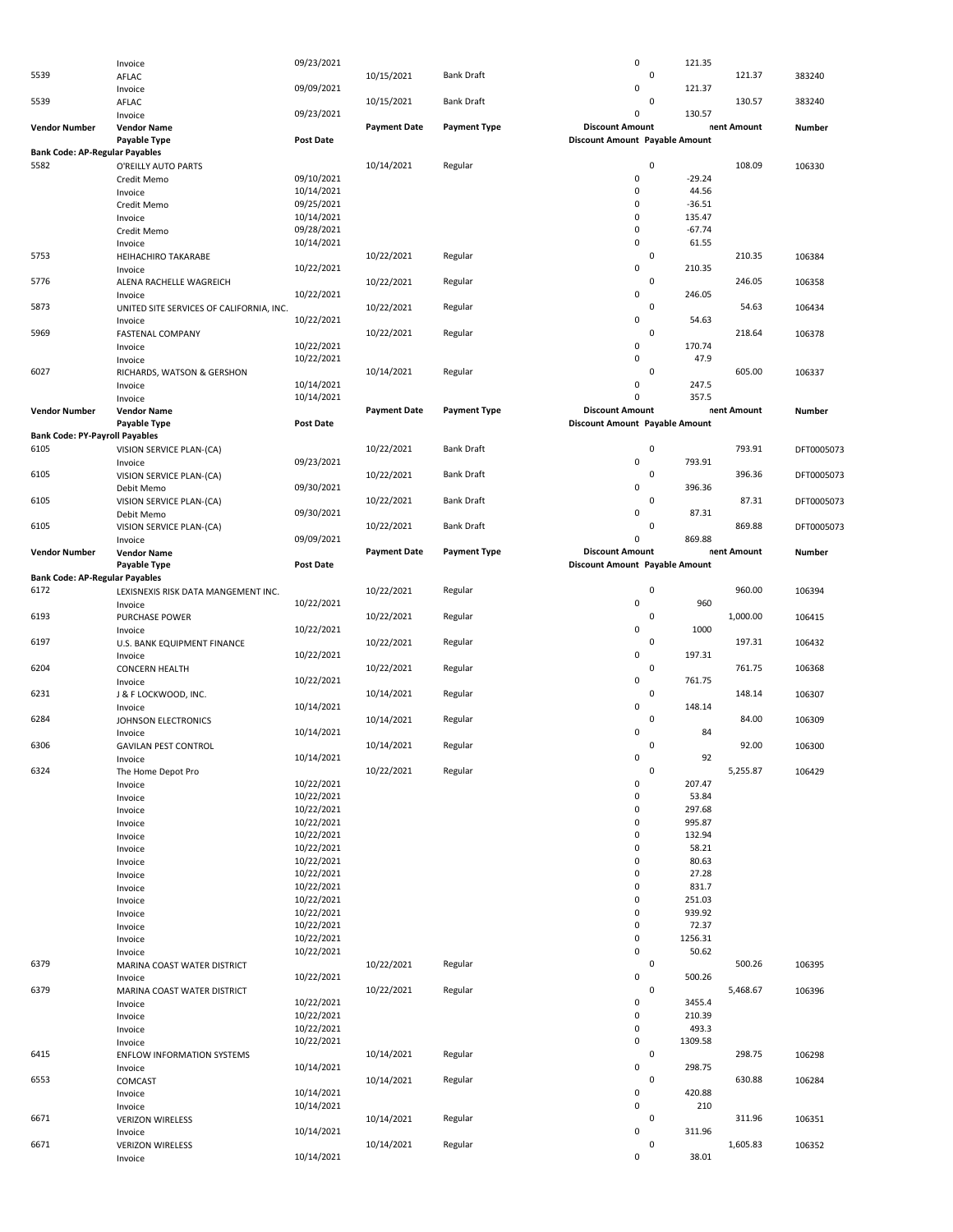|                                       | Invoice                                  | 09/23/2021 |                     |                     | $\pmb{0}$                      |             | 121.35   |             |               |
|---------------------------------------|------------------------------------------|------------|---------------------|---------------------|--------------------------------|-------------|----------|-------------|---------------|
| 5539                                  | AFLAC                                    |            | 10/15/2021          | <b>Bank Draft</b>   |                                | 0           |          | 121.37      | 383240        |
|                                       |                                          | 09/09/2021 |                     |                     | 0                              |             |          |             |               |
|                                       | Invoice                                  |            |                     |                     |                                |             | 121.37   |             |               |
| 5539                                  | AFLAC                                    |            | 10/15/2021          | <b>Bank Draft</b>   |                                | 0           |          | 130.57      | 383240        |
|                                       | Invoice                                  | 09/23/2021 |                     |                     | 0                              |             | 130.57   |             |               |
| <b>Vendor Number</b>                  | <b>Vendor Name</b>                       |            | <b>Payment Date</b> | <b>Payment Type</b> | <b>Discount Amount</b>         |             |          | nent Amount | Number        |
|                                       | Payable Type                             | Post Date  |                     |                     | Discount Amount Payable Amount |             |          |             |               |
| <b>Bank Code: AP-Regular Payables</b> |                                          |            |                     |                     |                                |             |          |             |               |
| 5582                                  |                                          |            | 10/14/2021          | Regular             |                                | $\mathbf 0$ |          | 108.09      |               |
|                                       | O'REILLY AUTO PARTS                      |            |                     |                     |                                |             |          |             | 106330        |
|                                       | Credit Memo                              | 09/10/2021 |                     |                     | 0                              |             | $-29.24$ |             |               |
|                                       | Invoice                                  | 10/14/2021 |                     |                     | 0                              |             | 44.56    |             |               |
|                                       | Credit Memo                              | 09/25/2021 |                     |                     | 0                              |             | $-36.51$ |             |               |
|                                       | Invoice                                  | 10/14/2021 |                     |                     | $\Omega$                       |             | 135.47   |             |               |
|                                       | Credit Memo                              | 09/28/2021 |                     |                     | $\pmb{0}$                      |             | $-67.74$ |             |               |
|                                       |                                          |            |                     |                     | 0                              |             |          |             |               |
|                                       | Invoice                                  | 10/14/2021 |                     |                     |                                |             | 61.55    |             |               |
| 5753                                  | HEIHACHIRO TAKARABE                      |            | 10/22/2021          | Regular             |                                | 0           |          | 210.35      | 106384        |
|                                       | Invoice                                  | 10/22/2021 |                     |                     | 0                              |             | 210.35   |             |               |
| 5776                                  | ALENA RACHELLE WAGREICH                  |            | 10/22/2021          | Regular             |                                | 0           |          | 246.05      | 106358        |
|                                       | Invoice                                  | 10/22/2021 |                     |                     | 0                              |             | 246.05   |             |               |
| 5873                                  |                                          |            |                     | Regular             |                                | 0           |          | 54.63       | 106434        |
|                                       | UNITED SITE SERVICES OF CALIFORNIA, INC. |            | 10/22/2021          |                     |                                |             |          |             |               |
|                                       | Invoice                                  | 10/22/2021 |                     |                     | 0                              |             | 54.63    |             |               |
| 5969                                  | <b>FASTENAL COMPANY</b>                  |            | 10/22/2021          | Regular             |                                | 0           |          | 218.64      | 106378        |
|                                       | Invoice                                  | 10/22/2021 |                     |                     | 0                              |             | 170.74   |             |               |
|                                       | Invoice                                  | 10/22/2021 |                     |                     | 0                              |             | 47.9     |             |               |
| 6027                                  | RICHARDS, WATSON & GERSHON               |            | 10/14/2021          | Regular             |                                | 0           |          | 605.00      |               |
|                                       |                                          |            |                     |                     |                                |             |          |             | 106337        |
|                                       | Invoice                                  | 10/14/2021 |                     |                     | 0                              |             | 247.5    |             |               |
|                                       | Invoice                                  | 10/14/2021 |                     |                     | $\Omega$                       |             | 357.5    |             |               |
| <b>Vendor Number</b>                  | <b>Vendor Name</b>                       |            | <b>Payment Date</b> | <b>Payment Type</b> | <b>Discount Amount</b>         |             |          | nent Amount | <b>Number</b> |
|                                       | Payable Type                             | Post Date  |                     |                     | Discount Amount Payable Amount |             |          |             |               |
| <b>Bank Code: PY-Payroll Payables</b> |                                          |            |                     |                     |                                |             |          |             |               |
|                                       |                                          |            |                     |                     |                                |             |          |             |               |
| 6105                                  | VISION SERVICE PLAN-(CA)                 |            | 10/22/2021          | <b>Bank Draft</b>   |                                | 0           |          | 793.91      | DFT0005073    |
|                                       | Invoice                                  | 09/23/2021 |                     |                     | 0                              |             | 793.91   |             |               |
| 6105                                  | VISION SERVICE PLAN-(CA)                 |            | 10/22/2021          | <b>Bank Draft</b>   |                                | 0           |          | 396.36      | DFT0005073    |
|                                       | Debit Memo                               | 09/30/2021 |                     |                     | 0                              |             | 396.36   |             |               |
| 6105                                  | VISION SERVICE PLAN-(CA)                 |            | 10/22/2021          | <b>Bank Draft</b>   |                                | 0           |          | 87.31       | DFT0005073    |
|                                       |                                          |            |                     |                     | 0                              |             | 87.31    |             |               |
|                                       | Debit Memo                               | 09/30/2021 |                     |                     |                                |             |          |             |               |
| 6105                                  | VISION SERVICE PLAN-(CA)                 |            | 10/22/2021          | <b>Bank Draft</b>   |                                | 0           |          | 869.88      | DFT0005073    |
|                                       | Invoice                                  | 09/09/2021 |                     |                     | 0                              |             | 869.88   |             |               |
| <b>Vendor Number</b>                  | <b>Vendor Name</b>                       |            | <b>Payment Date</b> | <b>Payment Type</b> | <b>Discount Amount</b>         |             |          | nent Amount | Number        |
|                                       | Payable Type                             | Post Date  |                     |                     | Discount Amount Payable Amount |             |          |             |               |
|                                       |                                          |            |                     |                     |                                |             |          |             |               |
| <b>Bank Code: AP-Regular Payables</b> |                                          |            |                     |                     |                                |             |          |             |               |
| 6172                                  | LEXISNEXIS RISK DATA MANGEMENT INC.      |            | 10/22/2021          | Regular             |                                | 0           |          | 960.00      | 106394        |
|                                       | Invoice                                  | 10/22/2021 |                     |                     | $\pmb{0}$                      |             | 960      |             |               |
|                                       |                                          |            |                     |                     |                                |             |          |             |               |
| 6193                                  | PURCHASE POWER                           |            | 10/22/2021          | Regular             |                                | 0           |          | 1,000.00    | 106415        |
|                                       |                                          |            |                     |                     | 0                              |             |          |             |               |
|                                       | Invoice                                  | 10/22/2021 |                     |                     |                                |             | 1000     |             |               |
| 6197                                  | U.S. BANK EQUIPMENT FINANCE              |            | 10/22/2021          | Regular             |                                | 0           |          | 197.31      | 106432        |
|                                       | Invoice                                  | 10/22/2021 |                     |                     | 0                              |             | 197.31   |             |               |
| 6204                                  | <b>CONCERN HEALTH</b>                    |            | 10/22/2021          | Regular             |                                | 0           |          | 761.75      | 106368        |
|                                       | Invoice                                  | 10/22/2021 |                     |                     | 0                              |             | 761.75   |             |               |
|                                       |                                          |            |                     |                     |                                |             |          |             |               |
| 6231                                  | J & F LOCKWOOD, INC.                     |            | 10/14/2021          | Regular             |                                | 0           |          | 148.14      | 106307        |
|                                       | Invoice                                  | 10/14/2021 |                     |                     | 0                              |             | 148.14   |             |               |
| 6284                                  | JOHNSON ELECTRONICS                      |            | 10/14/2021          | Regular             |                                | 0           |          | 84.00       | 106309        |
|                                       | Invoice                                  | 10/14/2021 |                     |                     | $\Omega$                       |             | 84       |             |               |
| 6306                                  | <b>GAVILAN PEST CONTROL</b>              |            | 10/14/2021          | Regular             |                                | 0           |          | 92.00       | 106300        |
|                                       |                                          |            |                     |                     | 0                              |             | 92       |             |               |
|                                       | Invoice                                  | 10/14/2021 |                     |                     |                                |             |          |             |               |
| 6324                                  | The Home Depot Pro                       |            | 10/22/2021          | Regular             |                                | 0           |          | 5,255.87    | 106429        |
|                                       | Invoice                                  | 10/22/2021 |                     |                     | 0                              |             | 207.47   |             |               |
|                                       | Invoice                                  | 10/22/2021 |                     |                     | 0                              |             | 53.84    |             |               |
|                                       | Invoice                                  | 10/22/2021 |                     |                     | 0                              |             | 297.68   |             |               |
|                                       | Invoice                                  | 10/22/2021 |                     |                     | 0                              |             | 995.87   |             |               |
|                                       |                                          |            |                     |                     | 0                              |             |          |             |               |
|                                       | Invoice                                  | 10/22/2021 |                     |                     |                                |             | 132.94   |             |               |
|                                       | Invoice                                  | 10/22/2021 |                     |                     | $\pmb{0}$                      |             | 58.21    |             |               |
|                                       | Invoice                                  | 10/22/2021 |                     |                     | 0                              |             | 80.63    |             |               |
|                                       | Invoice                                  | 10/22/2021 |                     |                     | $\pmb{0}$                      |             | 27.28    |             |               |
|                                       | Invoice                                  | 10/22/2021 |                     |                     | $\mathbf 0$                    |             | 831.7    |             |               |
|                                       |                                          |            |                     |                     | $\pmb{0}$                      |             | 251.03   |             |               |
|                                       | Invoice                                  | 10/22/2021 |                     |                     |                                |             |          |             |               |
|                                       | Invoice                                  | 10/22/2021 |                     |                     | 0                              |             | 939.92   |             |               |
|                                       | Invoice                                  | 10/22/2021 |                     |                     | $\pmb{0}$                      |             | 72.37    |             |               |
|                                       | Invoice                                  | 10/22/2021 |                     |                     | 0                              |             | 1256.31  |             |               |
|                                       | Invoice                                  | 10/22/2021 |                     |                     | $\pmb{0}$                      |             | 50.62    |             |               |
| 6379                                  | MARINA COAST WATER DISTRICT              |            | 10/22/2021          | Regular             |                                | 0           |          | 500.26      | 106395        |
|                                       |                                          |            |                     |                     | $\pmb{0}$                      |             | 500.26   |             |               |
|                                       | Invoice                                  | 10/22/2021 |                     |                     |                                |             |          |             |               |
| 6379                                  | MARINA COAST WATER DISTRICT              |            | 10/22/2021          | Regular             |                                | 0           |          | 5,468.67    | 106396        |
|                                       | Invoice                                  | 10/22/2021 |                     |                     | 0                              |             | 3455.4   |             |               |
|                                       | Invoice                                  | 10/22/2021 |                     |                     | 0                              |             | 210.39   |             |               |
|                                       | Invoice                                  | 10/22/2021 |                     |                     | $\pmb{0}$                      |             | 493.3    |             |               |
|                                       |                                          |            |                     |                     | $\pmb{0}$                      |             |          |             |               |
|                                       | Invoice                                  | 10/22/2021 |                     |                     |                                |             | 1309.58  |             |               |
| 6415                                  | <b>ENFLOW INFORMATION SYSTEMS</b>        |            | 10/14/2021          | Regular             |                                | $\mathbf 0$ |          | 298.75      | 106298        |
|                                       | Invoice                                  | 10/14/2021 |                     |                     | 0                              |             | 298.75   |             |               |
| 6553                                  | COMCAST                                  |            | 10/14/2021          | Regular             |                                | 0           |          | 630.88      | 106284        |
|                                       | Invoice                                  | 10/14/2021 |                     |                     | 0                              |             | 420.88   |             |               |
|                                       | Invoice                                  | 10/14/2021 |                     |                     | 0                              |             | 210      |             |               |
|                                       |                                          |            |                     |                     |                                |             |          |             |               |
| 6671                                  | <b>VERIZON WIRELESS</b>                  |            | 10/14/2021          | Regular             |                                | 0           |          | 311.96      | 106351        |
|                                       | Invoice                                  | 10/14/2021 |                     |                     | 0                              |             | 311.96   |             |               |
| 6671                                  | <b>VERIZON WIRELESS</b><br>Invoice       | 10/14/2021 | 10/14/2021          | Regular             | 0                              | 0           | 38.01    | 1,605.83    | 106352        |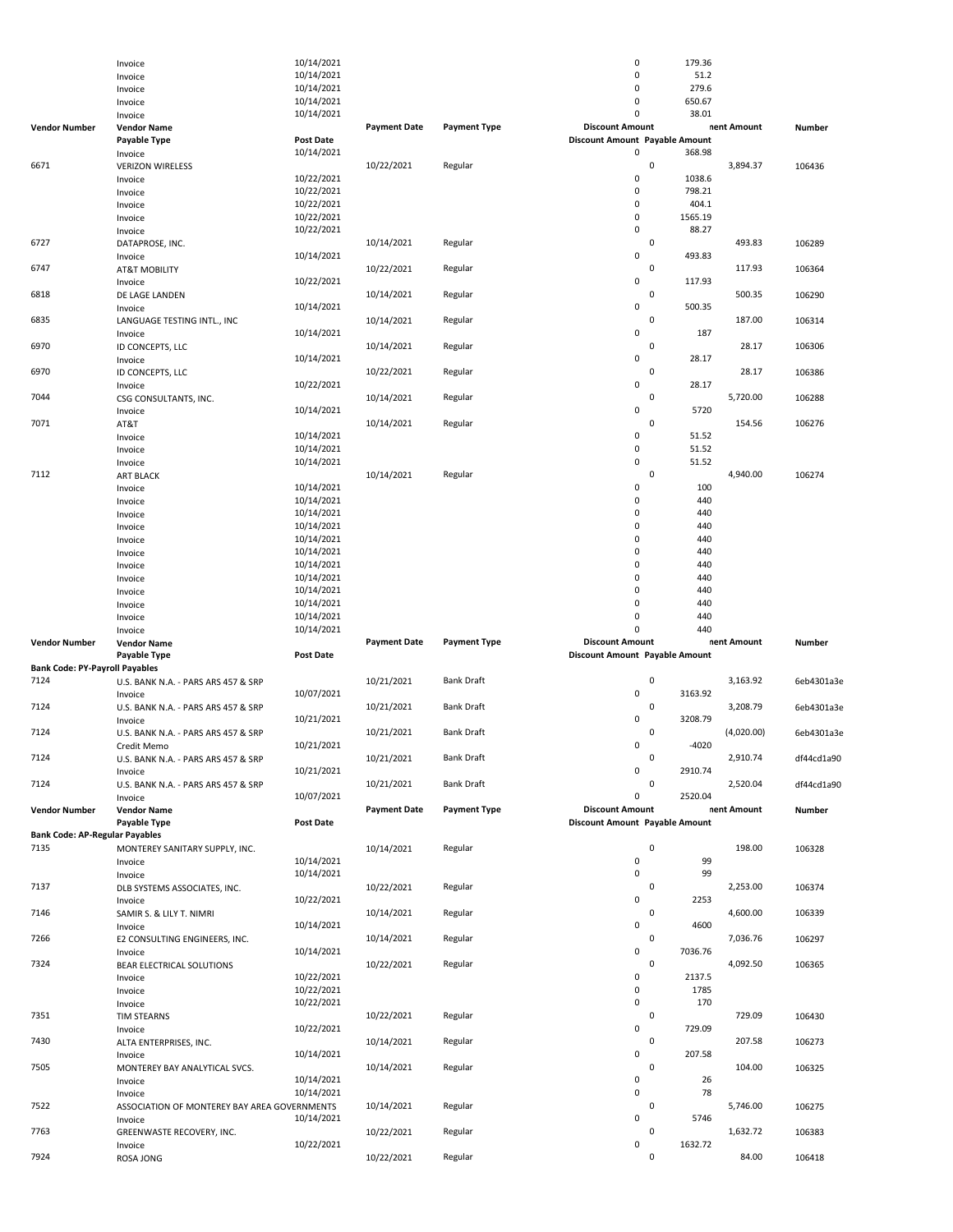|                                       | Invoice                                      | 10/14/2021       |                     |                     | $\pmb{0}$                      | 179.36      |             |               |
|---------------------------------------|----------------------------------------------|------------------|---------------------|---------------------|--------------------------------|-------------|-------------|---------------|
|                                       | Invoice                                      | 10/14/2021       |                     |                     | $\mathbf 0$                    | 51.2        |             |               |
|                                       | Invoice                                      | 10/14/2021       |                     |                     | $\mathbf 0$                    | 279.6       |             |               |
|                                       | Invoice                                      | 10/14/2021       |                     |                     | $\pmb{0}$                      | 650.67      |             |               |
|                                       | Invoice                                      | 10/14/2021       |                     |                     | 0                              | 38.01       |             |               |
| <b>Vendor Number</b>                  | <b>Vendor Name</b>                           |                  | <b>Payment Date</b> | <b>Payment Type</b> | <b>Discount Amount</b>         |             | nent Amount | <b>Number</b> |
|                                       | <b>Payable Type</b>                          | <b>Post Date</b> |                     |                     | Discount Amount Payable Amount |             |             |               |
|                                       | Invoice                                      | 10/14/2021       |                     |                     | 0                              | 368.98      |             |               |
| 6671                                  | <b>VERIZON WIRELESS</b>                      |                  | 10/22/2021          | Regular             |                                | $\mathsf 0$ | 3,894.37    | 106436        |
|                                       |                                              | 10/22/2021       |                     |                     | $\mathbf 0$                    | 1038.6      |             |               |
|                                       | Invoice                                      |                  |                     |                     | $\mathbf 0$                    |             |             |               |
|                                       | Invoice                                      | 10/22/2021       |                     |                     |                                | 798.21      |             |               |
|                                       | Invoice                                      | 10/22/2021       |                     |                     | $\pmb{0}$                      | 404.1       |             |               |
|                                       | Invoice                                      | 10/22/2021       |                     |                     | 0                              | 1565.19     |             |               |
|                                       | Invoice                                      | 10/22/2021       |                     |                     | 0                              | 88.27       |             |               |
| 6727                                  | DATAPROSE, INC.                              |                  | 10/14/2021          | Regular             |                                | $\mathsf 0$ | 493.83      | 106289        |
|                                       | Invoice                                      | 10/14/2021       |                     |                     | 0                              | 493.83      |             |               |
| 6747                                  | <b>AT&amp;T MOBILITY</b>                     |                  | 10/22/2021          | Regular             |                                | $\mathsf 0$ | 117.93      | 106364        |
|                                       | Invoice                                      | 10/22/2021       |                     |                     | $\pmb{0}$                      | 117.93      |             |               |
| 6818                                  | DE LAGE LANDEN                               |                  | 10/14/2021          | Regular             |                                | $\mathsf 0$ | 500.35      | 106290        |
|                                       | Invoice                                      | 10/14/2021       |                     |                     | 0                              | 500.35      |             |               |
| 6835                                  | LANGUAGE TESTING INTL., INC                  |                  | 10/14/2021          | Regular             |                                | $\mathsf 0$ | 187.00      | 106314        |
|                                       |                                              | 10/14/2021       |                     |                     | $\mathbf 0$                    | 187         |             |               |
| 6970                                  | Invoice                                      |                  |                     |                     |                                | $\mathsf 0$ | 28.17       |               |
|                                       | ID CONCEPTS, LLC                             |                  | 10/14/2021          | Regular             |                                |             |             | 106306        |
|                                       | Invoice                                      | 10/14/2021       |                     |                     | 0                              | 28.17       |             |               |
| 6970                                  | ID CONCEPTS, LLC                             |                  | 10/22/2021          | Regular             |                                | 0           | 28.17       | 106386        |
|                                       | Invoice                                      | 10/22/2021       |                     |                     | $\pmb{0}$                      | 28.17       |             |               |
| 7044                                  | CSG CONSULTANTS, INC.                        |                  | 10/14/2021          | Regular             |                                | $\mathbf 0$ | 5,720.00    | 106288        |
|                                       | Invoice                                      | 10/14/2021       |                     |                     | 0                              | 5720        |             |               |
| 7071                                  | AT&T                                         |                  | 10/14/2021          | Regular             |                                | $\mathsf 0$ | 154.56      | 106276        |
|                                       | Invoice                                      | 10/14/2021       |                     |                     | $\mathbf 0$                    | 51.52       |             |               |
|                                       | Invoice                                      | 10/14/2021       |                     |                     | $\pmb{0}$                      | 51.52       |             |               |
|                                       |                                              | 10/14/2021       |                     |                     | $\pmb{0}$                      | 51.52       |             |               |
| 7112                                  | Invoice                                      |                  |                     |                     |                                | $\mathsf 0$ |             |               |
|                                       | <b>ART BLACK</b>                             |                  | 10/14/2021          | Regular             |                                |             | 4,940.00    | 106274        |
|                                       | Invoice                                      | 10/14/2021       |                     |                     | $\mathbf 0$                    | 100         |             |               |
|                                       | Invoice                                      | 10/14/2021       |                     |                     | $\pmb{0}$                      | 440         |             |               |
|                                       | Invoice                                      | 10/14/2021       |                     |                     | $\mathbf 0$                    | 440         |             |               |
|                                       | Invoice                                      | 10/14/2021       |                     |                     | $\pmb{0}$                      | 440         |             |               |
|                                       | Invoice                                      | 10/14/2021       |                     |                     | $\pmb{0}$                      | 440         |             |               |
|                                       |                                              |                  |                     |                     | $\pmb{0}$                      | 440         |             |               |
|                                       | Invoice                                      | 10/14/2021       |                     |                     |                                |             |             |               |
|                                       | Invoice                                      | 10/14/2021       |                     |                     | $\pmb{0}$                      | 440         |             |               |
|                                       | Invoice                                      | 10/14/2021       |                     |                     | $\pmb{0}$                      | 440         |             |               |
|                                       | Invoice                                      | 10/14/2021       |                     |                     | $\pmb{0}$                      | 440         |             |               |
|                                       | Invoice                                      | 10/14/2021       |                     |                     | $\mathbf 0$                    | 440         |             |               |
|                                       |                                              |                  |                     |                     |                                |             |             |               |
|                                       |                                              |                  |                     |                     |                                |             |             |               |
|                                       | Invoice                                      | 10/14/2021       |                     |                     | $\mathbf 0$                    | 440         |             |               |
|                                       | Invoice                                      | 10/14/2021       |                     |                     | $\Omega$                       | 440         |             |               |
| <b>Vendor Number</b>                  | <b>Vendor Name</b>                           |                  | <b>Payment Date</b> | <b>Payment Type</b> | <b>Discount Amount</b>         |             | nent Amount | Number        |
|                                       | <b>Payable Type</b>                          | <b>Post Date</b> |                     |                     | Discount Amount Payable Amount |             |             |               |
| <b>Bank Code: PY-Payroll Payables</b> |                                              |                  |                     |                     |                                |             |             |               |
| 7124                                  | U.S. BANK N.A. - PARS ARS 457 & SRP          |                  | 10/21/2021          | <b>Bank Draft</b>   |                                | 0           | 3,163.92    | 6eb4301a3e    |
|                                       | Invoice                                      | 10/07/2021       |                     |                     | $\pmb{0}$                      | 3163.92     |             |               |
| 7124                                  | U.S. BANK N.A. - PARS ARS 457 & SRP          |                  | 10/21/2021          | <b>Bank Draft</b>   |                                | 0           | 3,208.79    | 6eb4301a3e    |
|                                       |                                              |                  |                     |                     | 0                              | 3208.79     |             |               |
|                                       | Invoice                                      | 10/21/2021       |                     |                     |                                |             |             |               |
| 7124                                  | U.S. BANK N.A. - PARS ARS 457 & SRP          |                  | 10/21/2021          | <b>Bank Draft</b>   |                                | 0           | (4,020.00)  | 6eb4301a3e    |
|                                       | Credit Memo                                  | 10/21/2021       |                     |                     | 0                              | $-4020$     |             |               |
| 7124                                  | U.S. BANK N.A. - PARS ARS 457 & SRP          |                  | 10/21/2021          | <b>Bank Draft</b>   |                                | U           | 2,910.74    | df44cd1a90    |
|                                       | Invoice                                      | 10/21/2021       |                     |                     | 0                              | 2910.74     |             |               |
| 7124                                  | U.S. BANK N.A. - PARS ARS 457 & SRP          |                  | 10/21/2021          | <b>Bank Draft</b>   |                                | $\mathbf 0$ | 2,520.04    | df44cd1a90    |
|                                       | Invoice                                      | 10/07/2021       |                     |                     | 0                              | 2520.04     |             |               |
| <b>Vendor Number</b>                  | <b>Vendor Name</b>                           |                  | <b>Payment Date</b> | <b>Payment Type</b> | <b>Discount Amount</b>         |             | nent Amount | Number        |
|                                       | Payable Type                                 | Post Date        |                     |                     | Discount Amount Payable Amount |             |             |               |
| <b>Bank Code: AP-Regular Payables</b> |                                              |                  |                     |                     |                                |             |             |               |
| 7135                                  | MONTEREY SANITARY SUPPLY, INC.               |                  | 10/14/2021          | Regular             |                                | $\mathsf 0$ | 198.00      | 106328        |
|                                       |                                              |                  |                     |                     |                                |             |             |               |
|                                       | Invoice                                      | 10/14/2021       |                     |                     | $\mathsf 0$                    | 99          |             |               |
|                                       | Invoice                                      | 10/14/2021       |                     |                     | $\pmb{0}$                      | 99          |             |               |
| 7137                                  | DLB SYSTEMS ASSOCIATES, INC.                 |                  | 10/22/2021          | Regular             |                                | $\mathbf 0$ | 2,253.00    | 106374        |
|                                       | Invoice                                      | 10/22/2021       |                     |                     | 0                              | 2253        |             |               |
| 7146                                  | SAMIR S. & LILY T. NIMRI                     |                  | 10/14/2021          | Regular             |                                | $\mathbf 0$ | 4,600.00    | 106339        |
|                                       | Invoice                                      | 10/14/2021       |                     |                     | 0                              | 4600        |             |               |
| 7266                                  | E2 CONSULTING ENGINEERS, INC.                |                  | 10/14/2021          | Regular             |                                | $\mathbf 0$ | 7,036.76    | 106297        |
|                                       |                                              | 10/14/2021       |                     |                     | 0                              | 7036.76     |             |               |
| 7324                                  | Invoice                                      |                  |                     | Regular             |                                | $\mathsf 0$ | 4,092.50    |               |
|                                       | BEAR ELECTRICAL SOLUTIONS                    |                  | 10/22/2021          |                     |                                |             |             | 106365        |
|                                       | Invoice                                      | 10/22/2021       |                     |                     | 0                              | 2137.5      |             |               |
|                                       | Invoice                                      | 10/22/2021       |                     |                     | $\mathsf 0$                    | 1785        |             |               |
|                                       | Invoice                                      | 10/22/2021       |                     |                     | 0                              | 170         |             |               |
| 7351                                  | <b>TIM STEARNS</b>                           |                  | 10/22/2021          | Regular             |                                | $\mathbf 0$ | 729.09      | 106430        |
|                                       | Invoice                                      | 10/22/2021       |                     |                     | $\mathsf 0$                    | 729.09      |             |               |
| 7430                                  | ALTA ENTERPRISES, INC.                       |                  | 10/14/2021          | Regular             |                                | $\mathsf 0$ | 207.58      | 106273        |
|                                       | Invoice                                      | 10/14/2021       |                     |                     | 0                              | 207.58      |             |               |
|                                       |                                              |                  |                     |                     |                                | $\mathbf 0$ |             |               |
| 7505                                  | MONTEREY BAY ANALYTICAL SVCS.                |                  | 10/14/2021          | Regular             |                                |             | 104.00      | 106325        |
|                                       | Invoice                                      | 10/14/2021       |                     |                     | $\pmb{0}$                      | 26          |             |               |
|                                       | Invoice                                      | 10/14/2021       |                     |                     | 0                              | 78          |             |               |
| 7522                                  | ASSOCIATION OF MONTEREY BAY AREA GOVERNMENTS |                  | 10/14/2021          | Regular             |                                | $\mathbf 0$ | 5,746.00    | 106275        |
|                                       | Invoice                                      | 10/14/2021       |                     |                     | 0                              | 5746        |             |               |
| 7763                                  | GREENWASTE RECOVERY, INC.                    |                  | 10/22/2021          | Regular             |                                | $\mathbf 0$ | 1,632.72    | 106383        |
|                                       |                                              | 10/22/2021       |                     |                     | $\pmb{0}$                      | 1632.72     |             |               |
| 7924                                  | Invoice<br>ROSA JONG                         |                  | 10/22/2021          | Regular             |                                | 0           | 84.00       | 106418        |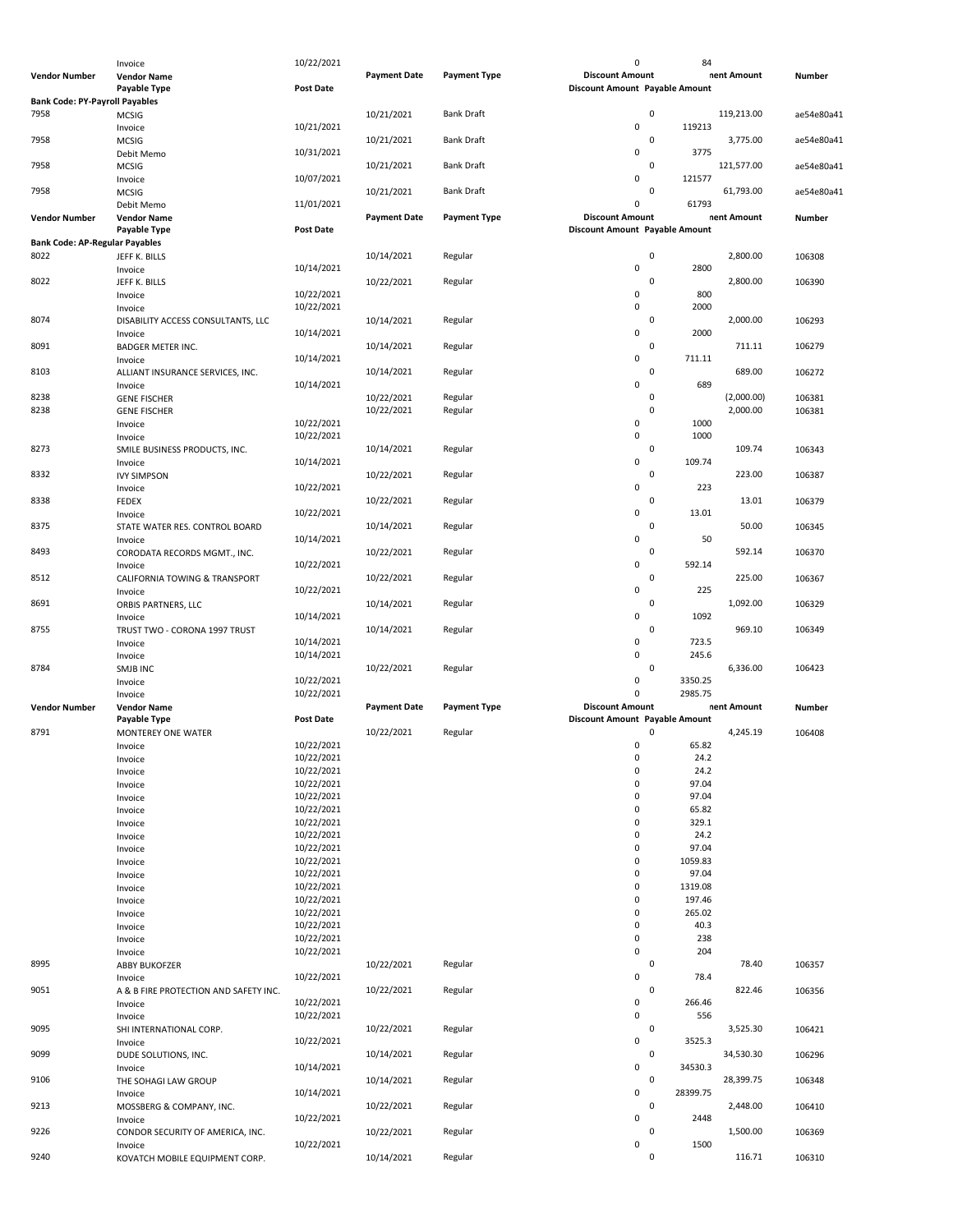|                                       | Invoice                                   | 10/22/2021       |                     |                     | 0                                     | 84          |             |               |
|---------------------------------------|-------------------------------------------|------------------|---------------------|---------------------|---------------------------------------|-------------|-------------|---------------|
| Vendor Number                         | <b>Vendor Name</b>                        |                  | <b>Payment Date</b> | <b>Payment Type</b> | <b>Discount Amount</b>                |             | nent Amount | Number        |
|                                       | Payable Type                              | <b>Post Date</b> |                     |                     | Discount Amount Payable Amount        |             |             |               |
|                                       |                                           |                  |                     |                     |                                       |             |             |               |
| <b>Bank Code: PY-Payroll Payables</b> |                                           |                  |                     |                     |                                       |             |             |               |
| 7958                                  | <b>MCSIG</b>                              |                  | 10/21/2021          | <b>Bank Draft</b>   |                                       | 0           | 119,213.00  | ae54e80a41    |
|                                       | Invoice                                   | 10/21/2021       |                     |                     | $\pmb{0}$                             | 119213      |             |               |
| 7958                                  | <b>MCSIG</b>                              |                  | 10/21/2021          | <b>Bank Draft</b>   |                                       | 0           | 3,775.00    | ae54e80a41    |
|                                       | Debit Memo                                | 10/31/2021       |                     |                     | 0                                     | 3775        |             |               |
| 7958                                  | <b>MCSIG</b>                              |                  | 10/21/2021          | <b>Bank Draft</b>   |                                       | $\mathbf 0$ | 121,577.00  | ae54e80a41    |
|                                       |                                           |                  |                     |                     | 0                                     |             |             |               |
|                                       | Invoice                                   | 10/07/2021       |                     |                     |                                       | 121577      |             |               |
| 7958                                  | <b>MCSIG</b>                              |                  | 10/21/2021          | <b>Bank Draft</b>   |                                       | 0           | 61,793.00   | ae54e80a41    |
|                                       | Debit Memo                                | 11/01/2021       |                     |                     | 0                                     | 61793       |             |               |
| Vendor Number                         | <b>Vendor Name</b>                        |                  | <b>Payment Date</b> | <b>Payment Type</b> | <b>Discount Amount</b>                |             | nent Amount | <b>Number</b> |
|                                       | Payable Type                              | <b>Post Date</b> |                     |                     | <b>Discount Amount Payable Amount</b> |             |             |               |
| <b>Bank Code: AP-Regular Payables</b> |                                           |                  |                     |                     |                                       |             |             |               |
|                                       |                                           |                  |                     |                     |                                       |             |             |               |
| 8022                                  | JEFF K. BILLS                             |                  | 10/14/2021          | Regular             |                                       | 0           | 2,800.00    | 106308        |
|                                       | Invoice                                   | 10/14/2021       |                     |                     | $\pmb{0}$                             | 2800        |             |               |
| 8022                                  | JEFF K. BILLS                             |                  | 10/22/2021          | Regular             |                                       | 0           | 2,800.00    | 106390        |
|                                       | Invoice                                   | 10/22/2021       |                     |                     | $\pmb{0}$                             | 800         |             |               |
|                                       | Invoice                                   | 10/22/2021       |                     |                     | 0                                     | 2000        |             |               |
|                                       |                                           |                  |                     |                     |                                       | $\pmb{0}$   |             |               |
| 8074                                  | DISABILITY ACCESS CONSULTANTS, LLC        |                  | 10/14/2021          | Regular             |                                       |             | 2,000.00    | 106293        |
|                                       | Invoice                                   | 10/14/2021       |                     |                     | 0                                     | 2000        |             |               |
| 8091                                  | <b>BADGER METER INC.</b>                  |                  | 10/14/2021          | Regular             |                                       | $\pmb{0}$   | 711.11      | 106279        |
|                                       | Invoice                                   | 10/14/2021       |                     |                     | 0                                     | 711.11      |             |               |
| 8103                                  | ALLIANT INSURANCE SERVICES, INC.          |                  | 10/14/2021          | Regular             |                                       | $\mathbf 0$ | 689.00      | 106272        |
|                                       |                                           |                  |                     |                     | 0                                     | 689         |             |               |
|                                       | Invoice                                   | 10/14/2021       |                     |                     |                                       |             |             |               |
| 8238                                  | <b>GENE FISCHER</b>                       |                  | 10/22/2021          | Regular             |                                       | 0           | (2,000.00)  | 106381        |
| 8238                                  | <b>GENE FISCHER</b>                       |                  | 10/22/2021          | Regular             |                                       | $\pmb{0}$   | 2,000.00    | 106381        |
|                                       | Invoice                                   | 10/22/2021       |                     |                     | 0                                     | 1000        |             |               |
|                                       | Invoice                                   | 10/22/2021       |                     |                     | 0                                     | 1000        |             |               |
| 8273                                  |                                           |                  |                     |                     |                                       | $\pmb{0}$   | 109.74      | 106343        |
|                                       | SMILE BUSINESS PRODUCTS, INC.             |                  | 10/14/2021          | Regular             |                                       |             |             |               |
|                                       | Invoice                                   | 10/14/2021       |                     |                     | 0                                     | 109.74      |             |               |
| 8332                                  | <b>IVY SIMPSON</b>                        |                  | 10/22/2021          | Regular             |                                       | $\mathbf 0$ | 223.00      | 106387        |
|                                       | Invoice                                   | 10/22/2021       |                     |                     | $\mathbf 0$                           | 223         |             |               |
| 8338                                  | <b>FEDEX</b>                              |                  | 10/22/2021          | Regular             |                                       | 0           | 13.01       | 106379        |
|                                       | Invoice                                   | 10/22/2021       |                     |                     | $\mathbf 0$                           | 13.01       |             |               |
|                                       |                                           |                  |                     |                     |                                       |             |             |               |
| 8375                                  | STATE WATER RES. CONTROL BOARD            |                  | 10/14/2021          | Regular             |                                       | $\mathbf 0$ | 50.00       | 106345        |
|                                       | Invoice                                   | 10/14/2021       |                     |                     | $\pmb{0}$                             | 50          |             |               |
| 8493                                  | CORODATA RECORDS MGMT., INC.              |                  | 10/22/2021          | Regular             |                                       | 0           | 592.14      | 106370        |
|                                       | Invoice                                   | 10/22/2021       |                     |                     | $\pmb{0}$                             | 592.14      |             |               |
| 8512                                  | CALIFORNIA TOWING & TRANSPORT             |                  | 10/22/2021          | Regular             |                                       | 0           | 225.00      | 106367        |
|                                       |                                           | 10/22/2021       |                     |                     | $\pmb{0}$                             | 225         |             |               |
|                                       | Invoice                                   |                  |                     |                     |                                       |             |             |               |
| 8691                                  | ORBIS PARTNERS, LLC                       |                  | 10/14/2021          | Regular             |                                       | 0           | 1,092.00    | 106329        |
|                                       | Invoice                                   | 10/14/2021       |                     |                     | 0                                     | 1092        |             |               |
| 8755                                  | TRUST TWO - CORONA 1997 TRUST             |                  | 10/14/2021          | Regular             |                                       | 0           | 969.10      | 106349        |
|                                       | Invoice                                   | 10/14/2021       |                     |                     | 0                                     | 723.5       |             |               |
|                                       |                                           | 10/14/2021       |                     |                     | $\mathbf 0$                           | 245.6       |             |               |
|                                       | Invoice                                   |                  |                     |                     |                                       |             |             |               |
| 8784                                  | SMJB INC                                  |                  | 10/22/2021          | Regular             |                                       | $\pmb{0}$   | 6,336.00    | 106423        |
|                                       | Invoice                                   | 10/22/2021       |                     |                     | 0                                     | 3350.25     |             |               |
|                                       | Invoice                                   | 10/22/2021       |                     |                     | 0                                     | 2985.75     |             |               |
|                                       |                                           |                  |                     |                     |                                       |             | nent Amount | Number        |
|                                       |                                           |                  |                     |                     |                                       |             |             |               |
| Vendor Number                         | <b>Vendor Name</b>                        |                  | <b>Payment Date</b> | <b>Payment Type</b> | <b>Discount Amount</b>                |             |             |               |
|                                       | Payable Type                              | <b>Post Date</b> |                     |                     | Discount Amount Payable Amount        |             |             |               |
| 8791                                  | MONTEREY ONE WATER                        |                  | 10/22/2021          | Regular             |                                       | 0           | 4,245.19    | 106408        |
|                                       | Invoice                                   | 10/22/2021       |                     |                     | 0                                     | 65.82       |             |               |
|                                       |                                           | 10/22/2021       |                     |                     | U                                     | 24.2        |             |               |
|                                       | Invoice                                   |                  |                     |                     |                                       |             |             |               |
|                                       | Invoice                                   | 10/22/2021       |                     |                     | 0                                     | 24.2        |             |               |
|                                       | Invoice                                   | 10/22/2021       |                     |                     | 0                                     | 97.04       |             |               |
|                                       | Invoice                                   | 10/22/2021       |                     |                     | $\mathsf 0$                           | 97.04       |             |               |
|                                       | Invoice                                   | 10/22/2021       |                     |                     | 0                                     | 65.82       |             |               |
|                                       | Invoice                                   | 10/22/2021       |                     |                     | $\mathsf 0$                           | 329.1       |             |               |
|                                       |                                           | 10/22/2021       |                     |                     | 0                                     | 24.2        |             |               |
|                                       | Invoice                                   |                  |                     |                     |                                       |             |             |               |
|                                       | Invoice                                   | 10/22/2021       |                     |                     | 0                                     | 97.04       |             |               |
|                                       | Invoice                                   | 10/22/2021       |                     |                     | 0                                     | 1059.83     |             |               |
|                                       | Invoice                                   | 10/22/2021       |                     |                     | 0                                     | 97.04       |             |               |
|                                       | Invoice                                   | 10/22/2021       |                     |                     | $\pmb{0}$                             | 1319.08     |             |               |
|                                       |                                           | 10/22/2021       |                     |                     | 0                                     | 197.46      |             |               |
|                                       | Invoice                                   |                  |                     |                     |                                       |             |             |               |
|                                       | Invoice                                   | 10/22/2021       |                     |                     | $\mathbf 0$                           | 265.02      |             |               |
|                                       | Invoice                                   | 10/22/2021       |                     |                     | $\mathbf 0$                           | 40.3        |             |               |
|                                       | Invoice                                   | 10/22/2021       |                     |                     | $\pmb{0}$                             | 238         |             |               |
|                                       | Invoice                                   | 10/22/2021       |                     |                     | 0                                     | 204         |             |               |
| 8995                                  | <b>ABBY BUKOFZER</b>                      |                  | 10/22/2021          | Regular             |                                       | 0           | 78.40       | 106357        |
|                                       | Invoice                                   | 10/22/2021       |                     |                     | 0                                     | 78.4        |             |               |
| 9051                                  |                                           |                  |                     |                     |                                       | $\pmb{0}$   | 822.46      |               |
|                                       | A & B FIRE PROTECTION AND SAFETY INC.     |                  | 10/22/2021          | Regular             |                                       |             |             | 106356        |
|                                       | Invoice                                   | 10/22/2021       |                     |                     | 0                                     | 266.46      |             |               |
|                                       | Invoice                                   | 10/22/2021       |                     |                     | $\mathsf 0$                           | 556         |             |               |
| 9095                                  | SHI INTERNATIONAL CORP.                   |                  | 10/22/2021          | Regular             |                                       | 0           | 3,525.30    | 106421        |
|                                       |                                           | 10/22/2021       |                     |                     | $\mathbf 0$                           | 3525.3      |             |               |
|                                       | Invoice                                   |                  |                     |                     |                                       |             |             |               |
| 9099                                  | DUDE SOLUTIONS, INC.                      |                  | 10/14/2021          | Regular             |                                       | 0           | 34,530.30   | 106296        |
|                                       | Invoice                                   | 10/14/2021       |                     |                     | $\mathbf 0$                           | 34530.3     |             |               |
| 9106                                  | THE SOHAGI LAW GROUP                      |                  | 10/14/2021          | Regular             |                                       | 0           | 28,399.75   | 106348        |
|                                       | Invoice                                   | 10/14/2021       |                     |                     | $\mathbf 0$                           | 28399.75    |             |               |
| 9213                                  | MOSSBERG & COMPANY, INC.                  |                  | 10/22/2021          | Regular             |                                       | 0           | 2,448.00    | 106410        |
|                                       |                                           | 10/22/2021       |                     |                     | 0                                     | 2448        |             |               |
|                                       | Invoice                                   |                  |                     |                     |                                       |             |             |               |
| 9226                                  | CONDOR SECURITY OF AMERICA, INC.          |                  | 10/22/2021          | Regular             |                                       | 0           | 1,500.00    | 106369        |
| 9240                                  | Invoice<br>KOVATCH MOBILE EQUIPMENT CORP. | 10/22/2021       | 10/14/2021          | Regular             | $\mathbf 0$                           | 1500<br>0   | 116.71      | 106310        |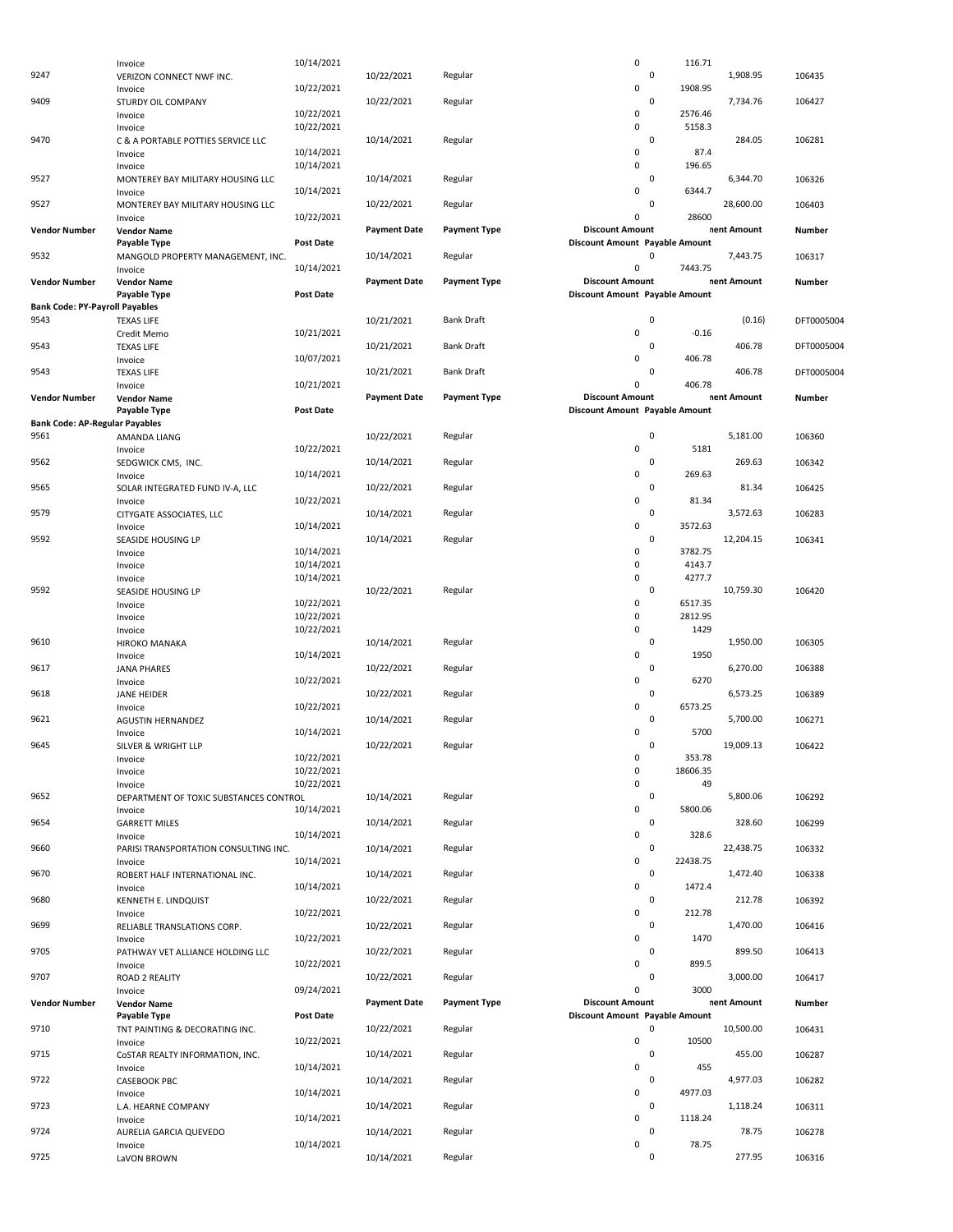|                                       | Invoice                                      | 10/14/2021       |                     |                     | 0                              | 116.71                |             |            |
|---------------------------------------|----------------------------------------------|------------------|---------------------|---------------------|--------------------------------|-----------------------|-------------|------------|
| 9247                                  | VERIZON CONNECT NWF INC.                     |                  | 10/22/2021          | Regular             |                                | 0                     | 1,908.95    | 106435     |
|                                       | Invoice                                      | 10/22/2021       |                     |                     | 0                              | 1908.95               |             |            |
| 9409                                  | STURDY OIL COMPANY<br>Invoice                | 10/22/2021       | 10/22/2021          | Regular             | 0                              | $\pmb{0}$<br>2576.46  | 7,734.76    | 106427     |
|                                       | Invoice                                      | 10/22/2021       |                     |                     | 0                              | 5158.3                |             |            |
| 9470                                  | C & A PORTABLE POTTIES SERVICE LLC           |                  | 10/14/2021          | Regular             |                                | $\mathbf 0$           | 284.05      | 106281     |
|                                       | Invoice                                      | 10/14/2021       |                     |                     | 0<br>0                         | 87.4<br>196.65        |             |            |
| 9527                                  | Invoice<br>MONTEREY BAY MILITARY HOUSING LLC | 10/14/2021       | 10/14/2021          | Regular             |                                | 0                     | 6,344.70    | 106326     |
|                                       | Invoice                                      | 10/14/2021       |                     |                     | 0                              | 6344.7                |             |            |
| 9527                                  | MONTEREY BAY MILITARY HOUSING LLC            |                  | 10/22/2021          | Regular             |                                | 0                     | 28,600.00   | 106403     |
| Vendor Number                         | Invoice<br><b>Vendor Name</b>                | 10/22/2021       | <b>Payment Date</b> | <b>Payment Type</b> | 0<br><b>Discount Amount</b>    | 28600                 | nent Amount | Number     |
|                                       | Payable Type                                 | <b>Post Date</b> |                     |                     | Discount Amount Payable Amount |                       |             |            |
| 9532                                  | MANGOLD PROPERTY MANAGEMENT, INC.            |                  | 10/14/2021          | Regular             |                                | $\mathbf 0$           | 7,443.75    | 106317     |
|                                       | Invoice                                      | 10/14/2021       | <b>Payment Date</b> | <b>Payment Type</b> | 0<br><b>Discount Amount</b>    | 7443.75               |             |            |
| Vendor Number                         | <b>Vendor Name</b><br>Payable Type           | <b>Post Date</b> |                     |                     | Discount Amount Payable Amount |                       | nent Amount | Number     |
| <b>Bank Code: PY-Payroll Payables</b> |                                              |                  |                     |                     |                                |                       |             |            |
| 9543                                  | <b>TEXAS LIFE</b>                            |                  | 10/21/2021          | <b>Bank Draft</b>   |                                | $\mathbf 0$           | (0.16)      | DFT0005004 |
| 9543                                  | Credit Memo<br><b>TEXAS LIFE</b>             | 10/21/2021       | 10/21/2021          | <b>Bank Draft</b>   | 0                              | $-0.16$<br>0          | 406.78      | DFT0005004 |
|                                       | Invoice                                      | 10/07/2021       |                     |                     | 0                              | 406.78                |             |            |
| 9543                                  | <b>TEXAS LIFE</b>                            |                  | 10/21/2021          | <b>Bank Draft</b>   |                                | $\mathbf 0$           | 406.78      | DFT0005004 |
|                                       | Invoice                                      | 10/21/2021       |                     |                     | 0<br><b>Discount Amount</b>    | 406.78                |             |            |
| <b>Vendor Number</b>                  | <b>Vendor Name</b><br>Payable Type           | <b>Post Date</b> | <b>Payment Date</b> | <b>Payment Type</b> | Discount Amount Payable Amount |                       | nent Amount | Number     |
| <b>Bank Code: AP-Regular Payables</b> |                                              |                  |                     |                     |                                |                       |             |            |
| 9561                                  | AMANDA LIANG                                 |                  | 10/22/2021          | Regular             |                                | 0                     | 5,181.00    | 106360     |
| 9562                                  | Invoice<br>SEDGWICK CMS, INC.                | 10/22/2021       |                     | Regular             | 0                              | 5181<br>$\mathbf 0$   | 269.63      | 106342     |
|                                       | Invoice                                      | 10/14/2021       | 10/14/2021          |                     | 0                              | 269.63                |             |            |
| 9565                                  | SOLAR INTEGRATED FUND IV-A, LLC              |                  | 10/22/2021          | Regular             |                                | $\mathbf 0$           | 81.34       | 106425     |
|                                       | Invoice                                      | 10/22/2021       |                     |                     | 0                              | 81.34                 |             |            |
| 9579                                  | CITYGATE ASSOCIATES, LLC<br>Invoice          | 10/14/2021       | 10/14/2021          | Regular             | 0                              | 0<br>3572.63          | 3,572.63    | 106283     |
| 9592                                  | SEASIDE HOUSING LP                           |                  | 10/14/2021          | Regular             |                                | 0                     | 12,204.15   | 106341     |
|                                       | Invoice                                      | 10/14/2021       |                     |                     | 0                              | 3782.75               |             |            |
|                                       | Invoice                                      | 10/14/2021       |                     |                     | 0                              | 4143.7                |             |            |
| 9592                                  | Invoice<br>SEASIDE HOUSING LP                | 10/14/2021       | 10/22/2021          | Regular             | 0                              | 4277.7<br>0           | 10,759.30   | 106420     |
|                                       | Invoice                                      | 10/22/2021       |                     |                     | 0                              | 6517.35               |             |            |
|                                       | Invoice                                      | 10/22/2021       |                     |                     | 0                              | 2812.95               |             |            |
| 9610                                  | Invoice                                      | 10/22/2021       |                     | Regular             | 0                              | 1429<br>$\mathbf 0$   | 1,950.00    |            |
|                                       | HIROKO MANAKA<br>Invoice                     | 10/14/2021       | 10/14/2021          |                     | 0                              | 1950                  |             | 106305     |
| 9617                                  | <b>JANA PHARES</b>                           |                  | 10/22/2021          | Regular             |                                | $\mathbf 0$           | 6,270.00    | 106388     |
|                                       | Invoice                                      | 10/22/2021       |                     |                     | 0                              | 6270                  |             |            |
| 9618                                  | <b>JANE HEIDER</b><br>Invoice                | 10/22/2021       | 10/22/2021          | Regular             | 0                              | 0<br>6573.25          | 6,573.25    | 106389     |
| 9621                                  | <b>AGUSTIN HERNANDEZ</b>                     |                  | 10/14/2021          | Regular             |                                | 0                     | 5,700.00    | 106271     |
|                                       | Invoice                                      | 10/14/2021       |                     |                     | 0                              | 5700                  |             |            |
| 9645                                  | SILVER & WRIGHT LLP                          | 10/22/2021       | 10/22/2021          | Regular             | 0                              | 0<br>353.78           | 19,009.13   | 106422     |
|                                       | Invoice<br>Invoice                           | 10/22/2021       |                     |                     | 0                              | 18606.35              |             |            |
|                                       | Invoice                                      | 10/22/2021       |                     |                     | 0                              | 49                    |             |            |
| 9652                                  | DEPARTMENT OF TOXIC SUBSTANCES CONTROL       |                  | 10/14/2021          | Regular             |                                | 0                     | 5,800.06    | 106292     |
| 9654                                  | Invoice<br><b>GARRETT MILES</b>              | 10/14/2021       | 10/14/2021          | Regular             | 0                              | 5800.06<br>0          | 328.60      | 106299     |
|                                       | Invoice                                      | 10/14/2021       |                     |                     | 0                              | 328.6                 |             |            |
| 9660                                  | PARISI TRANSPORTATION CONSULTING INC.        |                  | 10/14/2021          | Regular             |                                | 0                     | 22,438.75   | 106332     |
| 9670                                  | Invoice<br>ROBERT HALF INTERNATIONAL INC.    | 10/14/2021       | 10/14/2021          | Regular             | 0                              | 22438.75<br>$\pmb{0}$ | 1,472.40    | 106338     |
|                                       | Invoice                                      | 10/14/2021       |                     |                     | 0                              | 1472.4                |             |            |
| 9680                                  | KENNETH E. LINDQUIST                         |                  | 10/22/2021          | Regular             |                                | 0                     | 212.78      | 106392     |
|                                       | Invoice                                      | 10/22/2021       |                     |                     | 0                              | 212.78                |             |            |
| 9699                                  | RELIABLE TRANSLATIONS CORP.<br>Invoice       | 10/22/2021       | 10/22/2021          | Regular             | 0                              | 0<br>1470             | 1,470.00    | 106416     |
| 9705                                  | PATHWAY VET ALLIANCE HOLDING LLC             |                  | 10/22/2021          | Regular             |                                | 0                     | 899.50      | 106413     |
|                                       | Invoice                                      | 10/22/2021       |                     |                     | 0                              | 899.5                 |             |            |
| 9707                                  | ROAD 2 REALITY                               |                  | 10/22/2021          | Regular             | 0                              | $\mathbf 0$<br>3000   | 3,000.00    | 106417     |
| <b>Vendor Number</b>                  | Invoice<br><b>Vendor Name</b>                | 09/24/2021       | <b>Payment Date</b> | <b>Payment Type</b> | <b>Discount Amount</b>         |                       | nent Amount | Number     |
|                                       | Payable Type                                 | Post Date        |                     |                     | Discount Amount Payable Amount |                       |             |            |
| 9710                                  | TNT PAINTING & DECORATING INC.               |                  | 10/22/2021          | Regular             |                                | $\mathbf 0$           | 10,500.00   | 106431     |
|                                       | Invoice                                      | 10/22/2021       |                     |                     | 0                              | 10500                 |             |            |
| 9715                                  | COSTAR REALTY INFORMATION, INC.<br>Invoice   | 10/14/2021       | 10/14/2021          | Regular             | 0                              | 0<br>455              | 455.00      | 106287     |
| 9722                                  | <b>CASEBOOK PBC</b>                          |                  | 10/14/2021          | Regular             |                                | 0                     | 4,977.03    | 106282     |
|                                       | Invoice                                      | 10/14/2021       |                     |                     | 0                              | 4977.03               |             |            |
| 9723                                  | L.A. HEARNE COMPANY<br>Invoice               | 10/14/2021       | 10/14/2021          | Regular             | 0                              | 0<br>1118.24          | 1,118.24    | 106311     |
| 9724                                  | AURELIA GARCIA QUEVEDO                       |                  | 10/14/2021          | Regular             |                                | 0                     | 78.75       | 106278     |
|                                       | Invoice                                      | 10/14/2021       |                     |                     | 0                              | 78.75                 |             |            |
| 9725                                  | LaVON BROWN                                  |                  | 10/14/2021          | Regular             |                                | 0                     | 277.95      | 106316     |